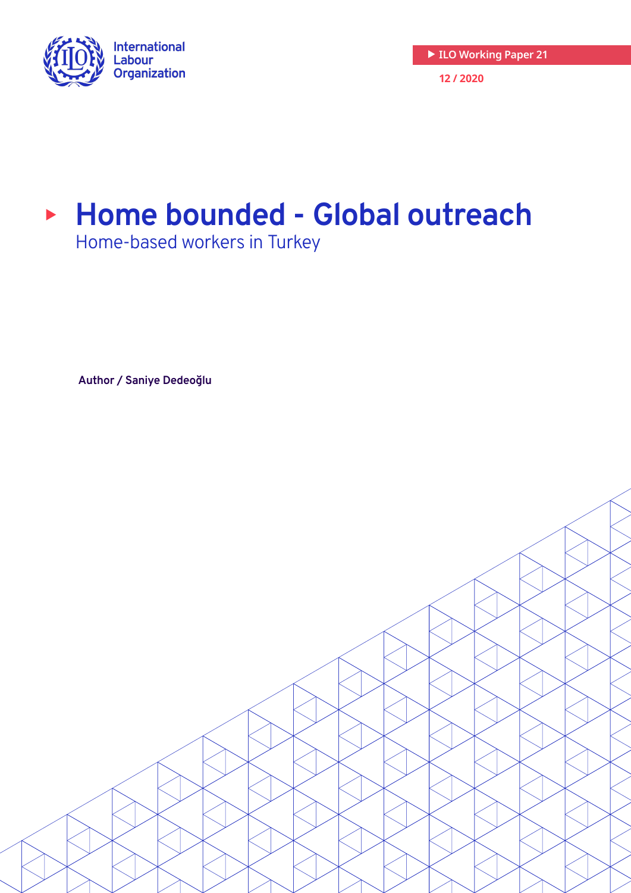

# <sup>X</sup> **Home bounded - Global outreach**

Home-based workers in Turkey

**Author / Saniye Dedeoğlu**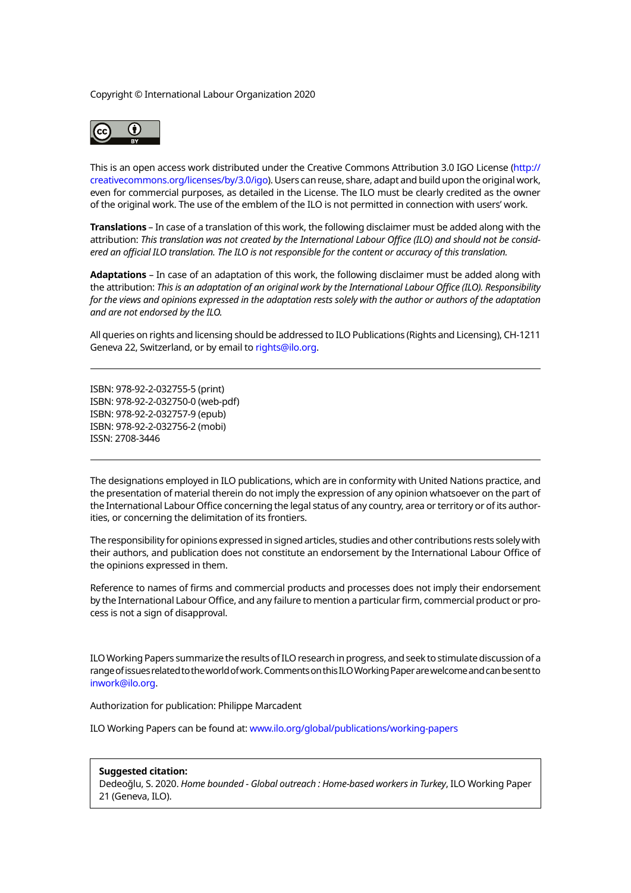Copyright © International Labour Organization 2020



This is an open access work distributed under the Creative Commons Attribution 3.0 IGO License ([http://](http://creativecommons.org/licenses/by/3.0/igo) [creativecommons.org/licenses/by/3.0/igo\)](http://creativecommons.org/licenses/by/3.0/igo). Users can reuse, share, adapt and build upon the original work, even for commercial purposes, as detailed in the License. The ILO must be clearly credited as the owner of the original work. The use of the emblem of the ILO is not permitted in connection with users' work.

**Translations** – In case of a translation of this work, the following disclaimer must be added along with the attribution: *This translation was not created by the International Labour Office (ILO) and should not be considered an official ILO translation. The ILO is not responsible for the content or accuracy of this translation.*

**Adaptations** – In case of an adaptation of this work, the following disclaimer must be added along with the attribution: *This is an adaptation of an original work by the International Labour Office (ILO). Responsibility for the views and opinions expressed in the adaptation rests solely with the author or authors of the adaptation and are not endorsed by the ILO.*

All queries on rights and licensing should be addressed to ILO Publications (Rights and Licensing), CH-1211 Geneva 22, Switzerland, or by email to [rights@ilo.org.](mailto:rights@ilo.org)

ISBN: 978-92-2-032755-5 (print) ISBN: 978-92-2-032750-0 (web-pdf) ISBN: 978-92-2-032757-9 (epub) ISBN: 978-92-2-032756-2 (mobi) ISSN: 2708-3446

The designations employed in ILO publications, which are in conformity with United Nations practice, and the presentation of material therein do not imply the expression of any opinion whatsoever on the part of the International Labour Office concerning the legal status of any country, area or territory or of its authorities, or concerning the delimitation of its frontiers.

The responsibility for opinions expressed in signed articles, studies and other contributions rests solely with their authors, and publication does not constitute an endorsement by the International Labour Office of the opinions expressed in them.

Reference to names of firms and commercial products and processes does not imply their endorsement by the International Labour Office, and any failure to mention a particular firm, commercial product or process is not a sign of disapproval.

ILO Working Papers summarize the results of ILO research in progress, and seek to stimulate discussion of a range of issues related to the world of work. Comments on this ILO Working Paper are welcome and can be sent to [inwork@ilo.org.](mailto:inwork@ilo.org)

Authorization for publication: Philippe Marcadent

ILO Working Papers can be found at: <www.ilo.org/global/publications/working-papers>

#### **Suggested citation:**

Dedeoğlu, S. 2020. *Home bounded - Global outreach : Home-based workers in Turkey*, ILO Working Paper 21 (Geneva, ILO).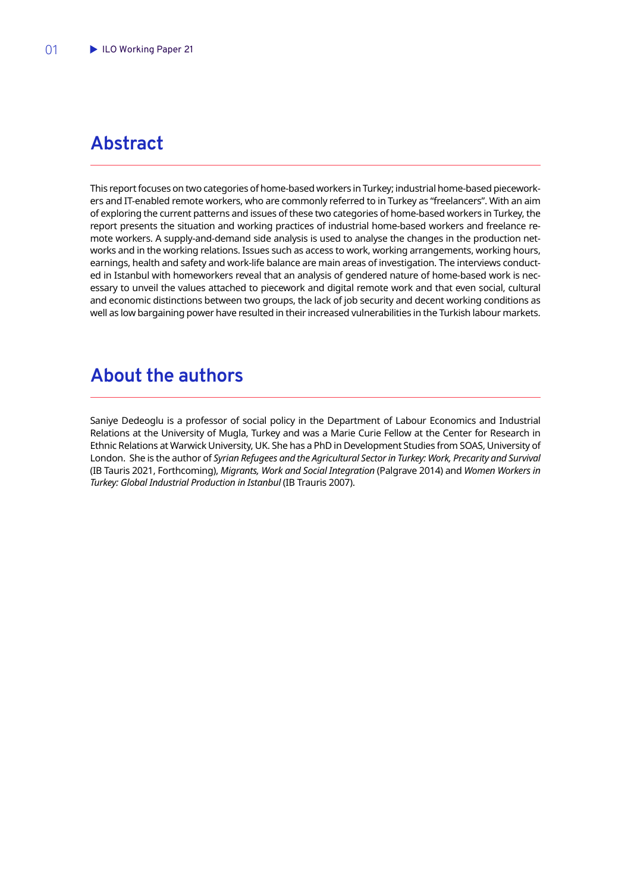## <span id="page-2-0"></span>**Abstract**

This report focuses on two categories of home-based workers in Turkey; industrial home-based pieceworkers and IT-enabled remote workers, who are commonly referred to in Turkey as "freelancers". With an aim of exploring the current patterns and issues of these two categories of home-based workers in Turkey, the report presents the situation and working practices of industrial home-based workers and freelance remote workers. A supply-and-demand side analysis is used to analyse the changes in the production networks and in the working relations. Issues such as access to work, working arrangements, working hours, earnings, health and safety and work-life balance are main areas of investigation. The interviews conducted in Istanbul with homeworkers reveal that an analysis of gendered nature of home-based work is necessary to unveil the values attached to piecework and digital remote work and that even social, cultural and economic distinctions between two groups, the lack of job security and decent working conditions as well as low bargaining power have resulted in their increased vulnerabilities in the Turkish labour markets.

## **About the authors**

Saniye Dedeoglu is a professor of social policy in the Department of Labour Economics and Industrial Relations at the University of Mugla, Turkey and was a Marie Curie Fellow at the Center for Research in Ethnic Relations at Warwick University, UK. She has a PhD in Development Studies from SOAS, University of London. She is the author of *Syrian Refugees and the Agricultural Sector in Turkey: Work, Precarity and Survival* (IB Tauris 2021, Forthcoming), *Migrants, Work and Social Integration* (Palgrave 2014) and *Women Workers in Turkey: Global Industrial Production in Istanbul* (IB Trauris 2007).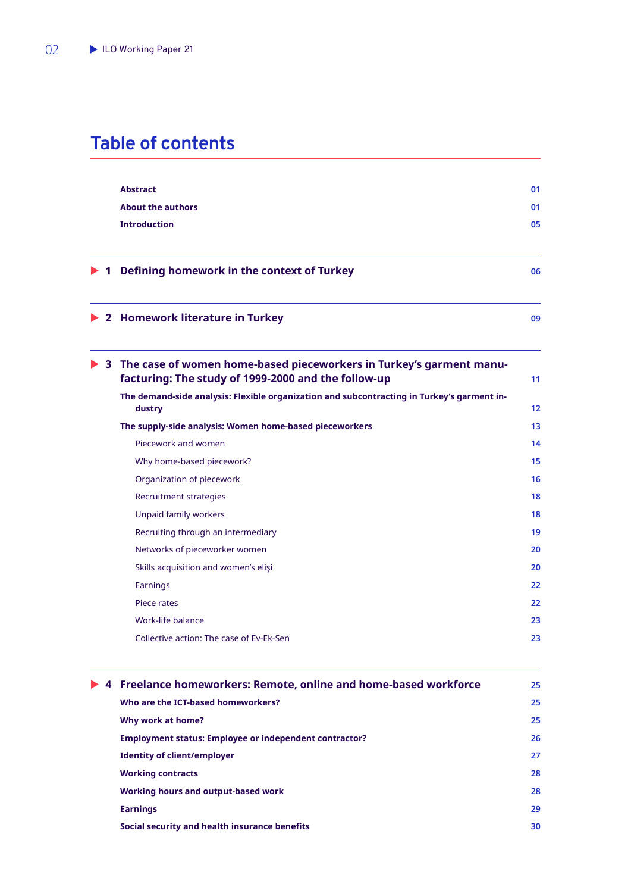## **Table of contents**

|  | <b>Abstract</b>                                                                                                              | 01 |
|--|------------------------------------------------------------------------------------------------------------------------------|----|
|  | <b>About the authors</b>                                                                                                     | 01 |
|  | <b>Introduction</b>                                                                                                          | 05 |
|  | 1 Defining homework in the context of Turkey                                                                                 | 06 |
|  | 2 Homework literature in Turkey                                                                                              | 09 |
|  | 3 The case of women home-based pieceworkers in Turkey's garment manu-<br>facturing: The study of 1999-2000 and the follow-up | 11 |
|  | The demand-side analysis: Flexible organization and subcontracting in Turkey's garment in-<br>dustry                         | 12 |
|  | The supply-side analysis: Women home-based pieceworkers                                                                      | 13 |
|  | Piecework and women                                                                                                          | 14 |
|  | Why home-based piecework?                                                                                                    | 15 |
|  | Organization of piecework                                                                                                    | 16 |
|  | Recruitment strategies                                                                                                       | 18 |
|  | Unpaid family workers                                                                                                        | 18 |
|  | Recruiting through an intermediary                                                                                           | 19 |
|  | Networks of pieceworker women                                                                                                | 20 |
|  | Skills acquisition and women's elişi                                                                                         | 20 |
|  | Earnings                                                                                                                     | 22 |
|  | Piece rates                                                                                                                  | 22 |
|  | Work-life balance                                                                                                            | 23 |
|  | Collective action: The case of Ev-Ek-Sen                                                                                     | 23 |

| 4 Freelance homeworkers: Remote, online and home-based workforce | 25 |
|------------------------------------------------------------------|----|
| Who are the ICT-based homeworkers?                               | 25 |
| Why work at home?                                                | 25 |
| Employment status: Employee or independent contractor?           | 26 |
| <b>Identity of client/employer</b>                               | 27 |
| <b>Working contracts</b>                                         | 28 |
| Working hours and output-based work                              | 28 |
| <b>Earnings</b>                                                  | 29 |
| Social security and health insurance benefits                    | 30 |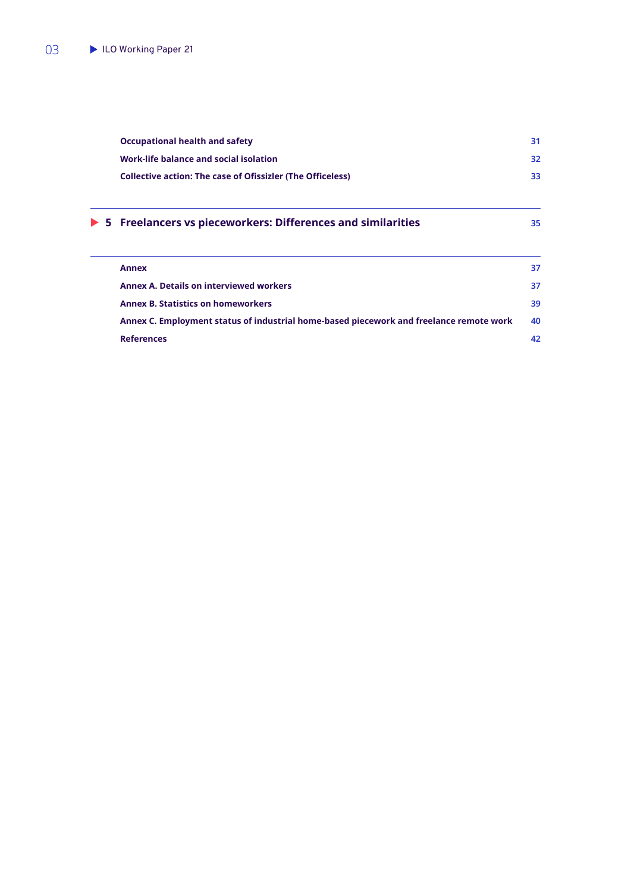| <b>Occupational health and safety</b>                                                   | 31 |
|-----------------------------------------------------------------------------------------|----|
| Work-life balance and social isolation                                                  | 32 |
| <b>Collective action: The case of Ofissizler (The Officeless)</b>                       | 33 |
| $\triangleright$ 5 Freelancers vs pieceworkers: Differences and similarities            | 35 |
| <b>Annex</b>                                                                            | 37 |
| <b>Annex A. Details on interviewed workers</b>                                          | 37 |
| <b>Annex B. Statistics on homeworkers</b>                                               | 39 |
| Annex C. Employment status of industrial home-based piecework and freelance remote work | 40 |
| <b>References</b>                                                                       | 42 |
|                                                                                         |    |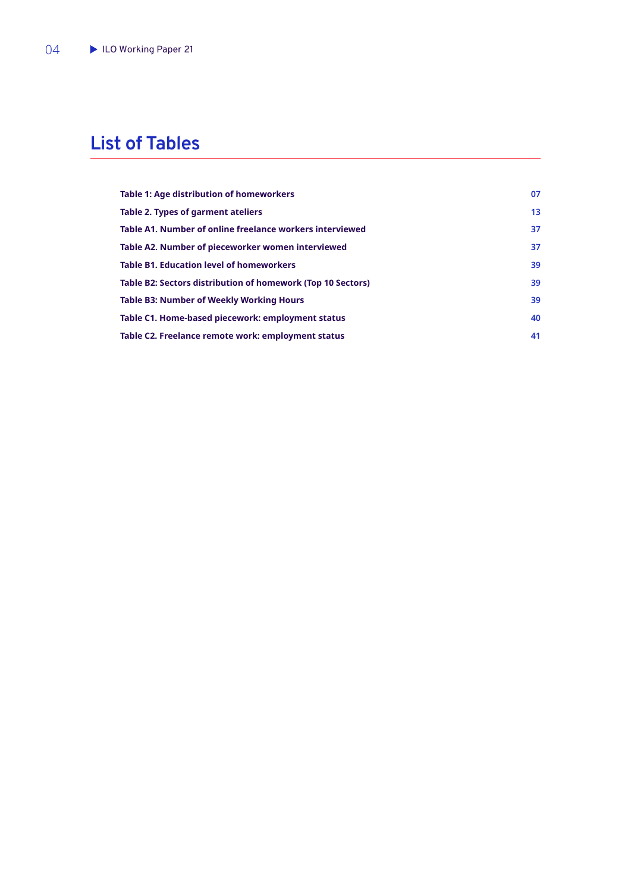## **List of Tables**

| Table 1: Age distribution of homeworkers                    | 07 |
|-------------------------------------------------------------|----|
| Table 2. Types of garment ateliers                          | 13 |
| Table A1. Number of online freelance workers interviewed    | 37 |
| Table A2. Number of pieceworker women interviewed           | 37 |
| <b>Table B1. Education level of homeworkers</b>             | 39 |
| Table B2: Sectors distribution of homework (Top 10 Sectors) | 39 |
| <b>Table B3: Number of Weekly Working Hours</b>             | 39 |
| Table C1. Home-based piecework: employment status           | 40 |
| Table C2. Freelance remote work: employment status          | 41 |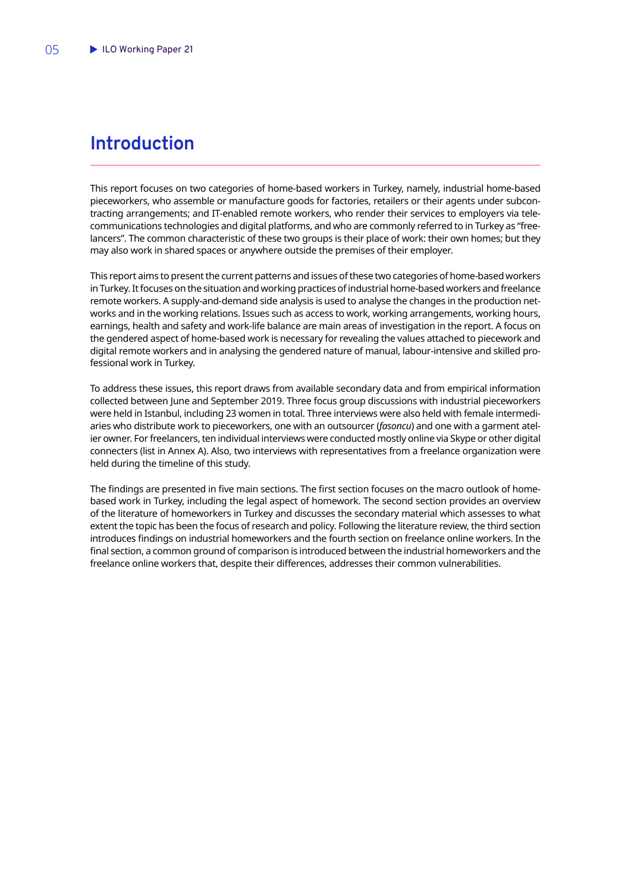## <span id="page-6-0"></span>**Introduction**

This report focuses on two categories of home-based workers in Turkey, namely, industrial home-based pieceworkers, who assemble or manufacture goods for factories, retailers or their agents under subcontracting arrangements; and IT-enabled remote workers, who render their services to employers via telecommunications technologies and digital platforms, and who are commonly referred to in Turkey as "freelancers". The common characteristic of these two groups is their place of work: their own homes; but they may also work in shared spaces or anywhere outside the premises of their employer.

This report aims to present the current patterns and issues of these two categories of home-based workers in Turkey. It focuses on the situation and working practices of industrial home-based workers and freelance remote workers. A supply-and-demand side analysis is used to analyse the changes in the production networks and in the working relations. Issues such as access to work, working arrangements, working hours, earnings, health and safety and work-life balance are main areas of investigation in the report. A focus on the gendered aspect of home-based work is necessary for revealing the values attached to piecework and digital remote workers and in analysing the gendered nature of manual, labour-intensive and skilled professional work in Turkey.

To address these issues, this report draws from available secondary data and from empirical information collected between June and September 2019. Three focus group discussions with industrial pieceworkers were held in Istanbul, including 23 women in total. Three interviews were also held with female intermediaries who distribute work to pieceworkers, one with an outsourcer (*fasoncu*) and one with a garment atelier owner. For freelancers, ten individual interviews were conducted mostly online via Skype or other digital connecters (list in Annex A). Also, two interviews with representatives from a freelance organization were held during the timeline of this study.

The findings are presented in five main sections. The first section focuses on the macro outlook of homebased work in Turkey, including the legal aspect of homework. The second section provides an overview of the literature of homeworkers in Turkey and discusses the secondary material which assesses to what extent the topic has been the focus of research and policy. Following the literature review, the third section introduces findings on industrial homeworkers and the fourth section on freelance online workers. In the final section, a common ground of comparison is introduced between the industrial homeworkers and the freelance online workers that, despite their differences, addresses their common vulnerabilities.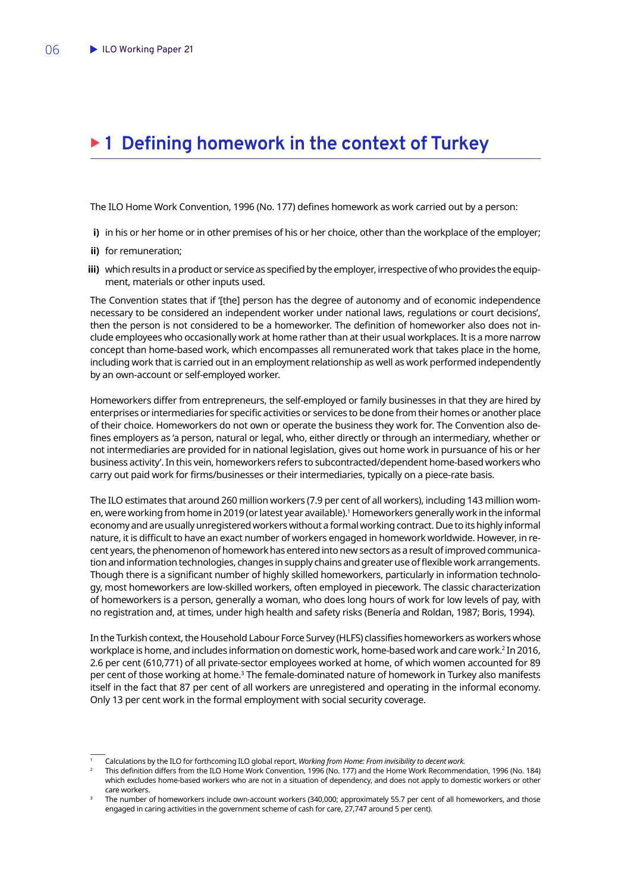## <span id="page-7-0"></span>▶ 1 Defining homework in the context of Turkey

The ILO Home Work Convention, 1996 (No. 177) defines homework as work carried out by a person:

- **i)** in his or her home or in other premises of his or her choice, other than the workplace of the employer;
- **ii)** for remuneration:
- **iii)** which results in a product or service as specified by the employer, irrespective of who provides the equipment, materials or other inputs used.

The Convention states that if '[the] person has the degree of autonomy and of economic independence necessary to be considered an independent worker under national laws, regulations or court decisions', then the person is not considered to be a homeworker. The definition of homeworker also does not include employees who occasionally work at home rather than at their usual workplaces. It is a more narrow concept than home-based work, which encompasses all remunerated work that takes place in the home, including work that is carried out in an employment relationship as well as work performed independently by an own-account or self-employed worker.

Homeworkers differ from entrepreneurs, the self-employed or family businesses in that they are hired by enterprises or intermediaries for specific activities or services to be done from their homes or another place of their choice. Homeworkers do not own or operate the business they work for. The Convention also defines employers as 'a person, natural or legal, who, either directly or through an intermediary, whether or not intermediaries are provided for in national legislation, gives out home work in pursuance of his or her business activity'. In this vein, homeworkers refers to subcontracted/dependent home-based workers who carry out paid work for firms/businesses or their intermediaries, typically on a piece-rate basis.

The ILO estimates that around 260 million workers (7.9 per cent of all workers), including 143 million women, were working from home in 2019 (or latest year available).1 Homeworkers generally work in the informal economy and are usually unregistered workers without a formal working contract. Due to its highly informal nature, it is difficult to have an exact number of workers engaged in homework worldwide. However, in recent years, the phenomenon of homework has entered into new sectors as a result of improved communication and information technologies, changes in supply chains and greater use of flexible work arrangements. Though there is a significant number of highly skilled homeworkers, particularly in information technology, most homeworkers are low-skilled workers, often employed in piecework. The classic characterization of homeworkers is a person, generally a woman, who does long hours of work for low levels of pay, with no registration and, at times, under high health and safety risks (Benería and Roldan, 1987; Boris, 1994).

In the Turkish context, the Household Labour Force Survey (HLFS) classifies homeworkers as workers whose workplace is home, and includes information on domestic work, home-based work and care work.2 In 2016, 2.6 per cent (610,771) of all private-sector employees worked at home, of which women accounted for 89 per cent of those working at home.<sup>3</sup> The female-dominated nature of homework in Turkey also manifests itself in the fact that 87 per cent of all workers are unregistered and operating in the informal economy. Only 13 per cent work in the formal employment with social security coverage.

<sup>1</sup> Calculations by the ILO for forthcoming ILO global report, *Working from Home: From invisibility to decent work.*

<sup>2</sup> This definition differs from the ILO Home Work Convention, 1996 (No. 177) and the Home Work Recommendation, 1996 (No. 184) which excludes home-based workers who are not in a situation of dependency, and does not apply to domestic workers or other

care workers.<br>The number of homeworkers include own-account workers (340,000; approximately 55.7 per cent of all homeworkers, and those engaged in caring activities in the government scheme of cash for care, 27,747 around 5 per cent).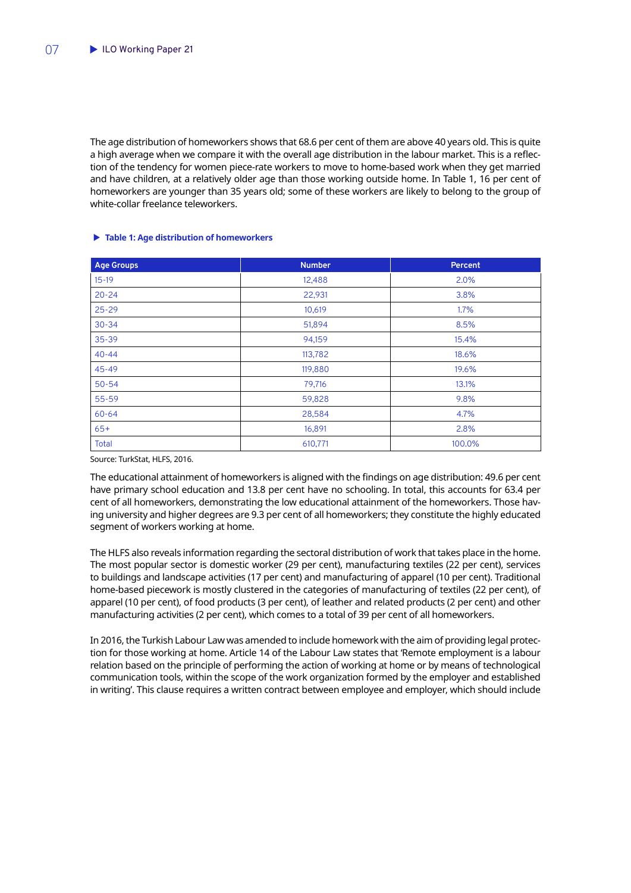<span id="page-8-0"></span>The age distribution of homeworkers shows that 68.6 per cent of them are above 40 years old. This is quite a high average when we compare it with the overall age distribution in the labour market. This is a reflection of the tendency for women piece-rate workers to move to home-based work when they get married and have children, at a relatively older age than those working outside home. In Table 1, 16 per cent of homeworkers are younger than 35 years old; some of these workers are likely to belong to the group of white-collar freelance teleworkers.

| <b>Age Groups</b> | <b>Number</b> | <b>Percent</b> |
|-------------------|---------------|----------------|
| $15-19$           | 12,488        | 2.0%           |
| $20 - 24$         | 22,931        | 3.8%           |
| $25 - 29$         | 10,619        | 1.7%           |
| $30 - 34$         | 51,894        | 8.5%           |
| $35 - 39$         | 94,159        | 15.4%          |
| $40 - 44$         | 113,782       | 18.6%          |
| 45-49             | 119,880       | 19.6%          |
| $50 - 54$         | 79,716        | 13.1%          |
| 55-59             | 59,828        | 9.8%           |
| $60 - 64$         | 28,584        | 4.7%           |
| $65+$             | 16,891        | 2.8%           |
| <b>Total</b>      | 610,771       | 100.0%         |

#### X **Table 1: Age distribution of homeworkers**

Source: TurkStat, HLFS, 2016.

The educational attainment of homeworkers is aligned with the findings on age distribution: 49.6 per cent have primary school education and 13.8 per cent have no schooling. In total, this accounts for 63.4 per cent of all homeworkers, demonstrating the low educational attainment of the homeworkers. Those having university and higher degrees are 9.3 per cent of all homeworkers; they constitute the highly educated segment of workers working at home.

The HLFS also reveals information regarding the sectoral distribution of work that takes place in the home. The most popular sector is domestic worker (29 per cent), manufacturing textiles (22 per cent), services to buildings and landscape activities (17 per cent) and manufacturing of apparel (10 per cent). Traditional home-based piecework is mostly clustered in the categories of manufacturing of textiles (22 per cent), of apparel (10 per cent), of food products (3 per cent), of leather and related products (2 per cent) and other manufacturing activities (2 per cent), which comes to a total of 39 per cent of all homeworkers.

In 2016, the Turkish Labour Law was amended to include homework with the aim of providing legal protection for those working at home. Article 14 of the Labour Law states that 'Remote employment is a labour relation based on the principle of performing the action of working at home or by means of technological communication tools, within the scope of the work organization formed by the employer and established in writing'. This clause requires a written contract between employee and employer, which should include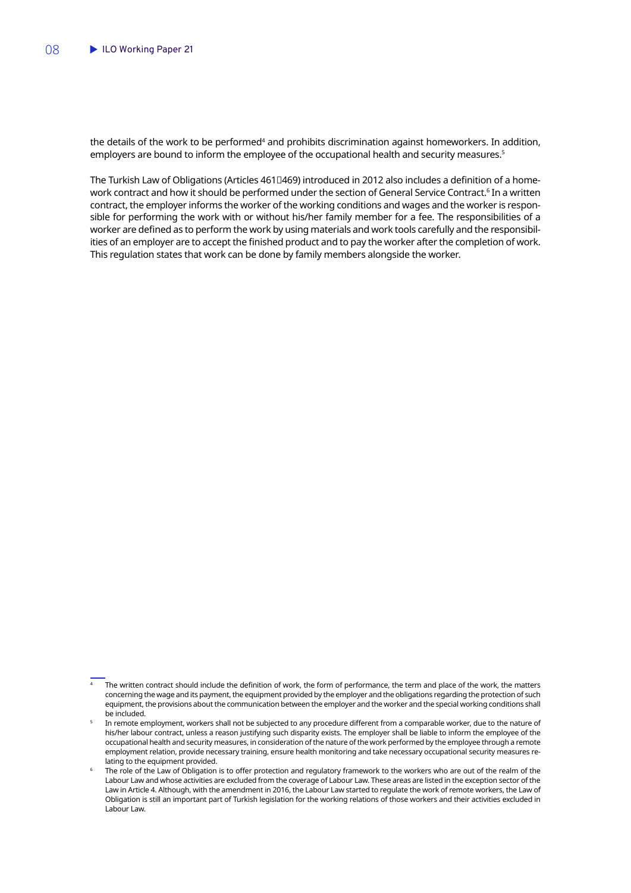the details of the work to be performed<sup>4</sup> and prohibits discrimination against homeworkers. In addition, employers are bound to inform the employee of the occupational health and security measures.<sup>5</sup>

The Turkish Law of Obligations (Articles 461□469) introduced in 2012 also includes a definition of a homework contract and how it should be performed under the section of General Service Contract.<sup>6</sup> In a written contract, the employer informs the worker of the working conditions and wages and the worker is responsible for performing the work with or without his/her family member for a fee. The responsibilities of a worker are defined as to perform the work by using materials and work tools carefully and the responsibilities of an employer are to accept the finished product and to pay the worker after the completion of work. This regulation states that work can be done by family members alongside the worker.

The written contract should include the definition of work, the form of performance, the term and place of the work, the matters concerning the wage and its payment, the equipment provided by the employer and the obligations regarding the protection of such equipment, the provisions about the communication between the employer and the worker and the special working conditions shall be included.

In remote employment, workers shall not be subjected to any procedure different from a comparable worker, due to the nature of his/her labour contract, unless a reason justifying such disparity exists. The employer shall be liable to inform the employee of the occupational health and security measures, in consideration of the nature of the work performed by the employee through a remote employment relation, provide necessary training, ensure health monitoring and take necessary occupational security measures relating to the equipment provided.

The role of the Law of Obligation is to offer protection and regulatory framework to the workers who are out of the realm of the Labour Law and whose activities are excluded from the coverage of Labour Law. These areas are listed in the exception sector of the Law in Article 4. Although, with the amendment in 2016, the Labour Law started to regulate the work of remote workers, the Law of Obligation is still an important part of Turkish legislation for the working relations of those workers and their activities excluded in Labour Law.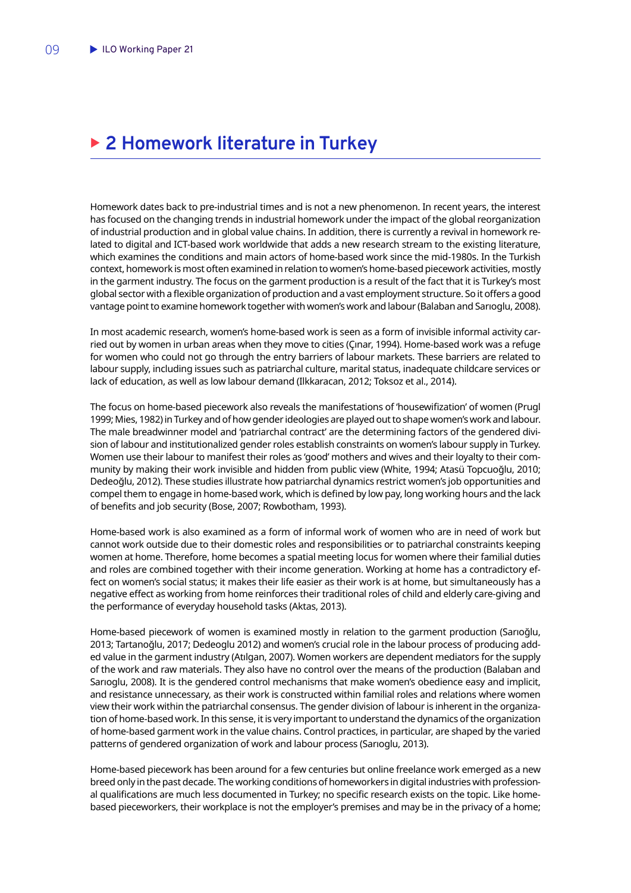## <span id="page-10-0"></span>▶ 2 **Homework literature in Turkey**

Homework dates back to pre-industrial times and is not a new phenomenon. In recent years, the interest has focused on the changing trends in industrial homework under the impact of the global reorganization of industrial production and in global value chains. In addition, there is currently a revival in homework related to digital and ICT-based work worldwide that adds a new research stream to the existing literature, which examines the conditions and main actors of home-based work since the mid-1980s. In the Turkish context, homework is most often examined in relation to women's home-based piecework activities, mostly in the garment industry. The focus on the garment production is a result of the fact that it is Turkey's most global sector with a flexible organization of production and a vast employment structure. So it offers a good vantage point to examine homework together with women's work and labour (Balaban and Sarıoglu, 2008).

In most academic research, women's home-based work is seen as a form of invisible informal activity carried out by women in urban areas when they move to cities (Çınar, 1994). Home-based work was a refuge for women who could not go through the entry barriers of labour markets. These barriers are related to labour supply, including issues such as patriarchal culture, marital status, inadequate childcare services or lack of education, as well as low labour demand (Ilkkaracan, 2012; Toksoz et al., 2014).

The focus on home-based piecework also reveals the manifestations of 'housewifization' of women (Prugl 1999; Mies, 1982) in Turkey and of how gender ideologies are played out to shape women's work and labour. The male breadwinner model and 'patriarchal contract' are the determining factors of the gendered division of labour and institutionalized gender roles establish constraints on women's labour supply in Turkey. Women use their labour to manifest their roles as 'good' mothers and wives and their loyalty to their community by making their work invisible and hidden from public view (White, 1994; Atasü Topcuoğlu, 2010; Dedeoğlu, 2012). These studies illustrate how patriarchal dynamics restrict women's job opportunities and compel them to engage in home-based work, which is defined by low pay, long working hours and the lack of benefits and job security (Bose, 2007; Rowbotham, 1993).

Home-based work is also examined as a form of informal work of women who are in need of work but cannot work outside due to their domestic roles and responsibilities or to patriarchal constraints keeping women at home. Therefore, home becomes a spatial meeting locus for women where their familial duties and roles are combined together with their income generation. Working at home has a contradictory effect on women's social status; it makes their life easier as their work is at home, but simultaneously has a negative effect as working from home reinforces their traditional roles of child and elderly care-giving and the performance of everyday household tasks (Aktas, 2013).

Home-based piecework of women is examined mostly in relation to the garment production (Sarıoğlu, 2013; Tartanoğlu, 2017; Dedeoglu 2012) and women's crucial role in the labour process of producing added value in the garment industry (Atılgan, 2007). Women workers are dependent mediators for the supply of the work and raw materials. They also have no control over the means of the production (Balaban and Sarıoglu, 2008). It is the gendered control mechanisms that make women's obedience easy and implicit, and resistance unnecessary, as their work is constructed within familial roles and relations where women view their work within the patriarchal consensus. The gender division of labour is inherent in the organization of home-based work. In this sense, it is very important to understand the dynamics of the organization of home-based garment work in the value chains. Control practices, in particular, are shaped by the varied patterns of gendered organization of work and labour process (Sarıoglu, 2013).

Home-based piecework has been around for a few centuries but online freelance work emerged as a new breed only in the past decade. The working conditions of homeworkers in digital industries with professional qualifications are much less documented in Turkey; no specific research exists on the topic. Like homebased pieceworkers, their workplace is not the employer's premises and may be in the privacy of a home;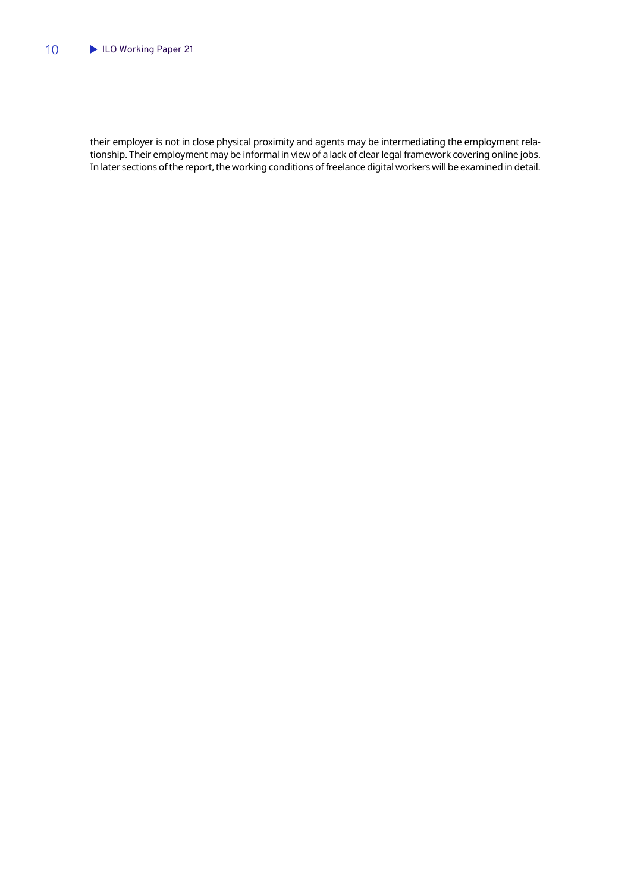their employer is not in close physical proximity and agents may be intermediating the employment relationship. Their employment may be informal in view of a lack of clear legal framework covering online jobs. In later sections of the report, the working conditions of freelance digital workers will be examined in detail.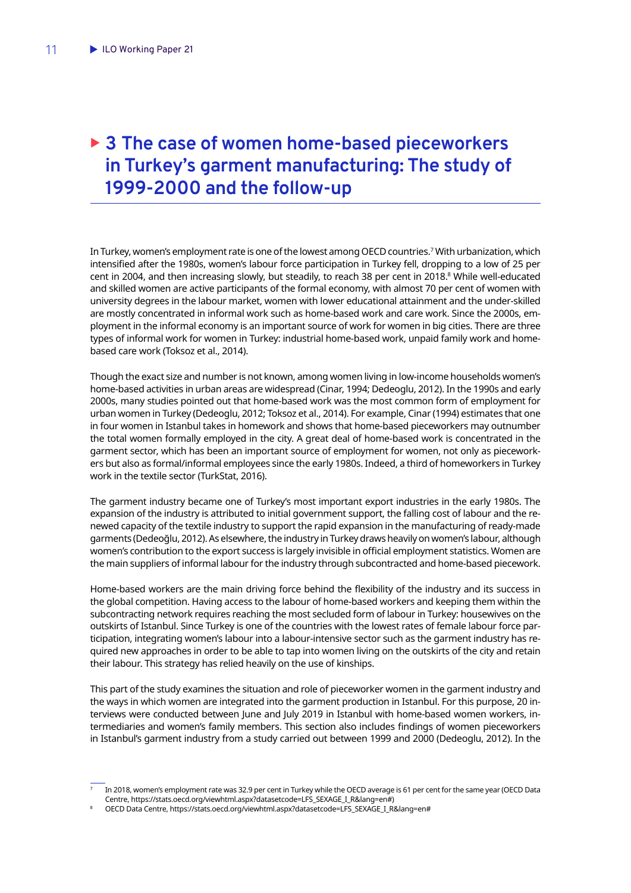## <span id="page-12-0"></span>▶ 3 The case of women home-based pieceworkers **in Turkey's garment manufacturing: The study of 1999-2000 and the follow-up**

In Turkey, women's employment rate is one of the lowest among OECD countries.7 With urbanization, which intensified after the 1980s, women's labour force participation in Turkey fell, dropping to a low of 25 per cent in 2004, and then increasing slowly, but steadily, to reach 38 per cent in 2018.<sup>8</sup> While well-educated and skilled women are active participants of the formal economy, with almost 70 per cent of women with university degrees in the labour market, women with lower educational attainment and the under-skilled are mostly concentrated in informal work such as home-based work and care work. Since the 2000s, employment in the informal economy is an important source of work for women in big cities. There are three types of informal work for women in Turkey: industrial home-based work, unpaid family work and homebased care work (Toksoz et al., 2014).

Though the exact size and number is not known, among women living in low-income households women's home-based activities in urban areas are widespread (Cinar, 1994; Dedeoglu, 2012). In the 1990s and early 2000s, many studies pointed out that home-based work was the most common form of employment for urban women in Turkey (Dedeoglu, 2012; Toksoz et al., 2014). For example, Cinar (1994) estimates that one in four women in Istanbul takes in homework and shows that home-based pieceworkers may outnumber the total women formally employed in the city. A great deal of home-based work is concentrated in the garment sector, which has been an important source of employment for women, not only as pieceworkers but also as formal/informal employees since the early 1980s. Indeed, a third of homeworkers in Turkey work in the textile sector (TurkStat, 2016).

The garment industry became one of Turkey's most important export industries in the early 1980s. The expansion of the industry is attributed to initial government support, the falling cost of labour and the renewed capacity of the textile industry to support the rapid expansion in the manufacturing of ready-made garments (Dedeoğlu, 2012). As elsewhere, the industry in Turkey draws heavily on women's labour, although women's contribution to the export success is largely invisible in official employment statistics. Women are the main suppliers of informal labour for the industry through subcontracted and home-based piecework.

Home-based workers are the main driving force behind the flexibility of the industry and its success in the global competition. Having access to the labour of home-based workers and keeping them within the subcontracting network requires reaching the most secluded form of labour in Turkey: housewives on the outskirts of Istanbul. Since Turkey is one of the countries with the lowest rates of female labour force participation, integrating women's labour into a labour-intensive sector such as the garment industry has required new approaches in order to be able to tap into women living on the outskirts of the city and retain their labour. This strategy has relied heavily on the use of kinships.

This part of the study examines the situation and role of pieceworker women in the garment industry and the ways in which women are integrated into the garment production in Istanbul. For this purpose, 20 interviews were conducted between June and July 2019 in Istanbul with home-based women workers, intermediaries and women's family members. This section also includes findings of women pieceworkers in Istanbul's garment industry from a study carried out between 1999 and 2000 (Dedeoglu, 2012). In the

<sup>7</sup> In 2018, women's employment rate was 32.9 per cent in Turkey while the OECD average is 61 per cent for the same year (OECD Data Centre, https://stats.oecd.org/viewhtml.aspx?datasetcode=LFS\_SEXAGE\_I\_R&lang=en#)

<sup>8</sup> OECD Data Centre, https://stats.oecd.org/viewhtml.aspx?datasetcode=LFS\_SEXAGE\_I\_R&lang=en#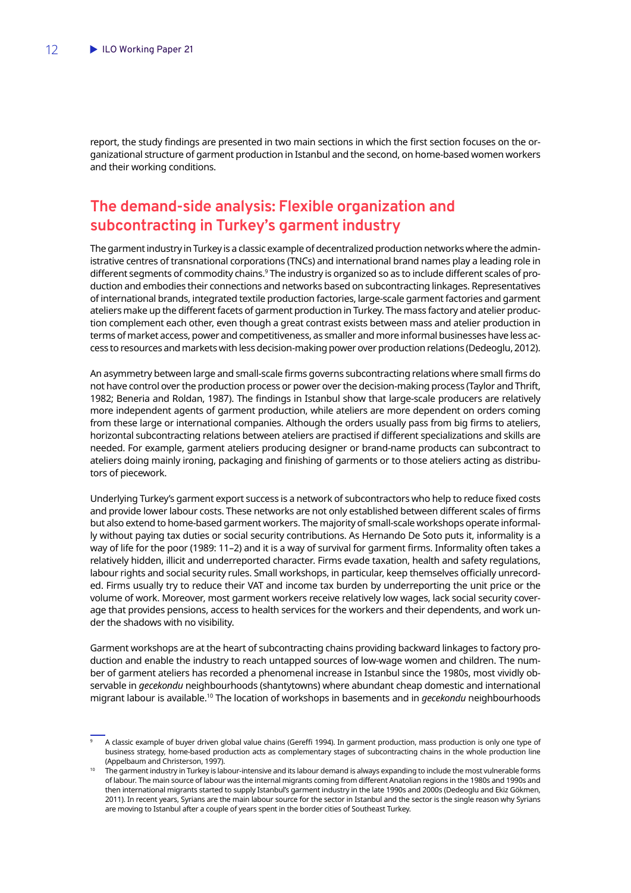<span id="page-13-0"></span>report, the study findings are presented in two main sections in which the first section focuses on the organizational structure of garment production in Istanbul and the second, on home-based women workers and their working conditions.

## **The demand-side analysis: Flexible organization and subcontracting in Turkey's garment industry**

The garment industry in Turkey is a classic example of decentralized production networks where the administrative centres of transnational corporations (TNCs) and international brand names play a leading role in different segments of commodity chains.<sup>9</sup> The industry is organized so as to include different scales of production and embodies their connections and networks based on subcontracting linkages. Representatives of international brands, integrated textile production factories, large-scale garment factories and garment ateliers make up the different facets of garment production in Turkey. The mass factory and atelier production complement each other, even though a great contrast exists between mass and atelier production in terms of market access, power and competitiveness, as smaller and more informal businesses have less access to resources and markets with less decision-making power over production relations (Dedeoglu, 2012).

An asymmetry between large and small-scale firms governs subcontracting relations where small firms do not have control over the production process or power over the decision-making process (Taylor and Thrift, 1982; Beneria and Roldan, 1987). The findings in Istanbul show that large-scale producers are relatively more independent agents of garment production, while ateliers are more dependent on orders coming from these large or international companies. Although the orders usually pass from big firms to ateliers, horizontal subcontracting relations between ateliers are practised if different specializations and skills are needed. For example, garment ateliers producing designer or brand-name products can subcontract to ateliers doing mainly ironing, packaging and finishing of garments or to those ateliers acting as distributors of piecework.

Underlying Turkey's garment export success is a network of subcontractors who help to reduce fixed costs and provide lower labour costs. These networks are not only established between different scales of firms but also extend to home-based garment workers. The majority of small-scale workshops operate informally without paying tax duties or social security contributions. As Hernando De Soto puts it, informality is a way of life for the poor (1989: 11–2) and it is a way of survival for garment firms. Informality often takes a relatively hidden, illicit and underreported character. Firms evade taxation, health and safety regulations, labour rights and social security rules. Small workshops, in particular, keep themselves officially unrecorded. Firms usually try to reduce their VAT and income tax burden by underreporting the unit price or the volume of work. Moreover, most garment workers receive relatively low wages, lack social security coverage that provides pensions, access to health services for the workers and their dependents, and work under the shadows with no visibility.

Garment workshops are at the heart of subcontracting chains providing backward linkages to factory production and enable the industry to reach untapped sources of low-wage women and children. The number of garment ateliers has recorded a phenomenal increase in Istanbul since the 1980s, most vividly observable in *gecekondu* neighbourhoods (shantytowns) where abundant cheap domestic and international migrant labour is available.10 The location of workshops in basements and in *gecekondu* neighbourhoods

<sup>9</sup> A classic example of buyer driven global value chains (Gereffi 1994). In garment production, mass production is only one type of business strategy, home-based production acts as complementary stages of subcontracting chains in the whole production line (Appelbaum and Christerson, 1997).

<sup>10</sup> The garment industry in Turkey is labour-intensive and its labour demand is always expanding to include the most vulnerable forms of labour. The main source of labour was the internal migrants coming from different Anatolian regions in the 1980s and 1990s and then international migrants started to supply Istanbul's garment industry in the late 1990s and 2000s (Dedeoglu and Ekiz Gökmen, 2011). In recent years, Syrians are the main labour source for the sector in Istanbul and the sector is the single reason why Syrians are moving to Istanbul after a couple of years spent in the border cities of Southeast Turkey.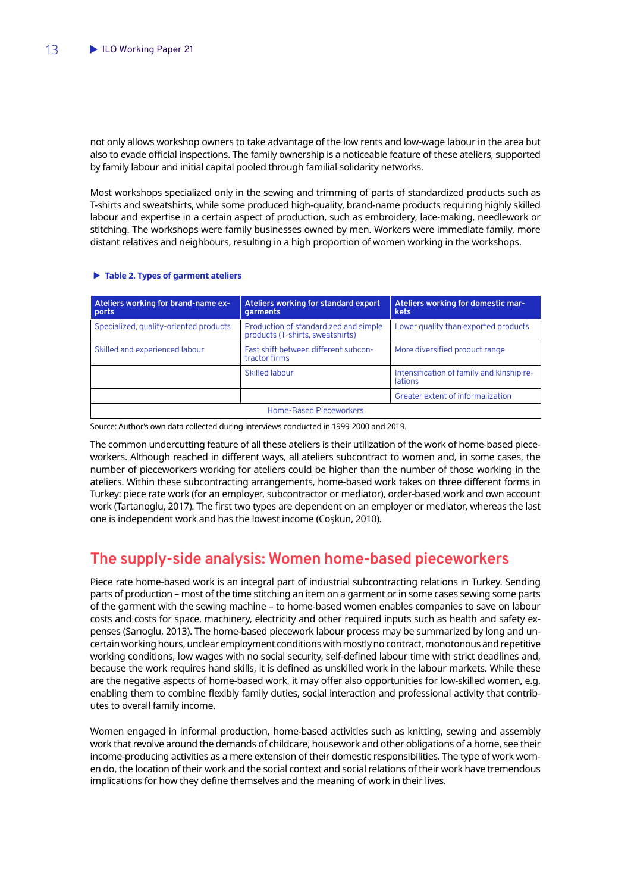<span id="page-14-0"></span>not only allows workshop owners to take advantage of the low rents and low-wage labour in the area but also to evade official inspections. The family ownership is a noticeable feature of these ateliers, supported by family labour and initial capital pooled through familial solidarity networks.

Most workshops specialized only in the sewing and trimming of parts of standardized products such as T-shirts and sweatshirts, while some produced high-quality, brand-name products requiring highly skilled labour and expertise in a certain aspect of production, such as embroidery, lace-making, needlework or stitching. The workshops were family businesses owned by men. Workers were immediate family, more distant relatives and neighbours, resulting in a high proportion of women working in the workshops.

#### X **Table 2. Types of garment ateliers**

| Ateliers working for brand-name ex-<br>ports | Ateliers working for standard export<br>garments                          | Ateliers working for domestic mar-<br>kets                  |  |  |
|----------------------------------------------|---------------------------------------------------------------------------|-------------------------------------------------------------|--|--|
| Specialized, quality-oriented products       | Production of standardized and simple<br>products (T-shirts, sweatshirts) | Lower quality than exported products                        |  |  |
| Skilled and experienced labour               | Fast shift between different subcon-<br>tractor firms                     | More diversified product range                              |  |  |
|                                              | Skilled labour                                                            | Intensification of family and kinship re-<br><b>lations</b> |  |  |
|                                              |                                                                           | Greater extent of informalization                           |  |  |
| Home-Based Pieceworkers                      |                                                                           |                                                             |  |  |

Source: Author's own data collected during interviews conducted in 1999-2000 and 2019.

The common undercutting feature of all these ateliers is their utilization of the work of home-based pieceworkers. Although reached in different ways, all ateliers subcontract to women and, in some cases, the number of pieceworkers working for ateliers could be higher than the number of those working in the ateliers. Within these subcontracting arrangements, home-based work takes on three different forms in Turkey: piece rate work (for an employer, subcontractor or mediator), order-based work and own account work (Tartanoglu, 2017). The first two types are dependent on an employer or mediator, whereas the last one is independent work and has the lowest income (Coşkun, 2010).

## **The supply-side analysis: Women home-based pieceworkers**

Piece rate home-based work is an integral part of industrial subcontracting relations in Turkey. Sending parts of production – most of the time stitching an item on a garment or in some cases sewing some parts of the garment with the sewing machine – to home-based women enables companies to save on labour costs and costs for space, machinery, electricity and other required inputs such as health and safety expenses (Sarıoglu, 2013). The home-based piecework labour process may be summarized by long and uncertain working hours, unclear employment conditions with mostly no contract, monotonous and repetitive working conditions, low wages with no social security, self-defined labour time with strict deadlines and, because the work requires hand skills, it is defined as unskilled work in the labour markets. While these are the negative aspects of home-based work, it may offer also opportunities for low-skilled women, e.g. enabling them to combine flexibly family duties, social interaction and professional activity that contributes to overall family income.

Women engaged in informal production, home-based activities such as knitting, sewing and assembly work that revolve around the demands of childcare, housework and other obligations of a home, see their income-producing activities as a mere extension of their domestic responsibilities. The type of work women do, the location of their work and the social context and social relations of their work have tremendous implications for how they define themselves and the meaning of work in their lives.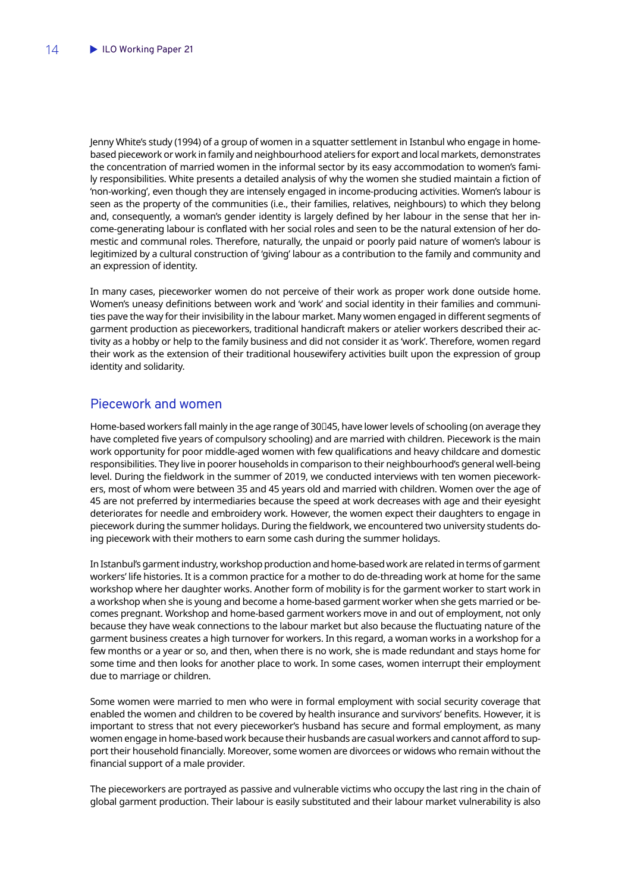<span id="page-15-0"></span>Jenny White's study (1994) of a group of women in a squatter settlement in Istanbul who engage in homebased piecework or work in family and neighbourhood ateliers for export and local markets, demonstrates the concentration of married women in the informal sector by its easy accommodation to women's family responsibilities. White presents a detailed analysis of why the women she studied maintain a fiction of 'non-working', even though they are intensely engaged in income-producing activities. Women's labour is seen as the property of the communities (i.e., their families, relatives, neighbours) to which they belong and, consequently, a woman's gender identity is largely defined by her labour in the sense that her income-generating labour is conflated with her social roles and seen to be the natural extension of her domestic and communal roles. Therefore, naturally, the unpaid or poorly paid nature of women's labour is legitimized by a cultural construction of 'giving' labour as a contribution to the family and community and an expression of identity.

In many cases, pieceworker women do not perceive of their work as proper work done outside home. Women's uneasy definitions between work and 'work' and social identity in their families and communities pave the way for their invisibility in the labour market. Many women engaged in different segments of garment production as pieceworkers, traditional handicraft makers or atelier workers described their activity as a hobby or help to the family business and did not consider it as 'work'. Therefore, women regard their work as the extension of their traditional housewifery activities built upon the expression of group identity and solidarity.

### Piecework and women

Home-based workers fall mainly in the age range of 30□45, have lower levels of schooling (on average they have completed five years of compulsory schooling) and are married with children. Piecework is the main work opportunity for poor middle-aged women with few qualifications and heavy childcare and domestic responsibilities. They live in poorer households in comparison to their neighbourhood's general well-being level. During the fieldwork in the summer of 2019, we conducted interviews with ten women pieceworkers, most of whom were between 35 and 45 years old and married with children. Women over the age of 45 are not preferred by intermediaries because the speed at work decreases with age and their eyesight deteriorates for needle and embroidery work. However, the women expect their daughters to engage in piecework during the summer holidays. During the fieldwork, we encountered two university students doing piecework with their mothers to earn some cash during the summer holidays.

In Istanbul's garment industry, workshop production and home-based work are related in terms of garment workers' life histories. It is a common practice for a mother to do de-threading work at home for the same workshop where her daughter works. Another form of mobility is for the garment worker to start work in a workshop when she is young and become a home-based garment worker when she gets married or becomes pregnant. Workshop and home-based garment workers move in and out of employment, not only because they have weak connections to the labour market but also because the fluctuating nature of the garment business creates a high turnover for workers. In this regard, a woman works in a workshop for a few months or a year or so, and then, when there is no work, she is made redundant and stays home for some time and then looks for another place to work. In some cases, women interrupt their employment due to marriage or children.

Some women were married to men who were in formal employment with social security coverage that enabled the women and children to be covered by health insurance and survivors' benefits. However, it is important to stress that not every pieceworker's husband has secure and formal employment, as many women engage in home-based work because their husbands are casual workers and cannot afford to support their household financially. Moreover, some women are divorcees or widows who remain without the financial support of a male provider.

The pieceworkers are portrayed as passive and vulnerable victims who occupy the last ring in the chain of global garment production. Their labour is easily substituted and their labour market vulnerability is also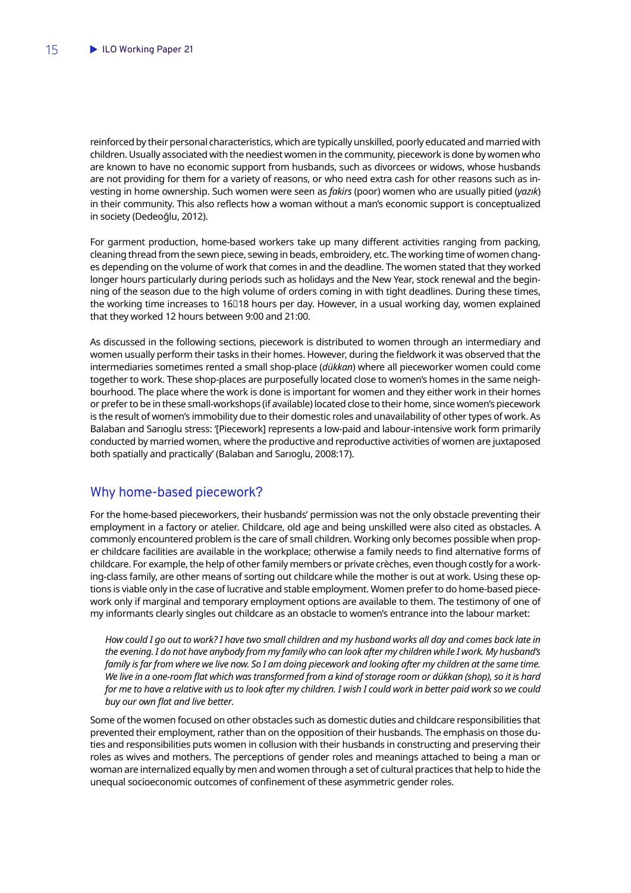<span id="page-16-0"></span>reinforced by their personal characteristics, which are typically unskilled, poorly educated and married with children. Usually associated with the neediest women in the community, piecework is done by women who are known to have no economic support from husbands, such as divorcees or widows, whose husbands are not providing for them for a variety of reasons, or who need extra cash for other reasons such as investing in home ownership. Such women were seen as *fakirs* (poor) women who are usually pitied (*yazık*) in their community. This also reflects how a woman without a man's economic support is conceptualized in society (Dedeoğlu, 2012).

For garment production, home-based workers take up many different activities ranging from packing, cleaning thread from the sewn piece, sewing in beads, embroidery, etc. The working time of women changes depending on the volume of work that comes in and the deadline. The women stated that they worked longer hours particularly during periods such as holidays and the New Year, stock renewal and the beginning of the season due to the high volume of orders coming in with tight deadlines. During these times, the working time increases to 16□18 hours per day. However, in a usual working day, women explained that they worked 12 hours between 9:00 and 21:00.

As discussed in the following sections, piecework is distributed to women through an intermediary and women usually perform their tasks in their homes. However, during the fieldwork it was observed that the intermediaries sometimes rented a small shop-place (*dükkan*) where all pieceworker women could come together to work. These shop-places are purposefully located close to women's homes in the same neighbourhood. The place where the work is done is important for women and they either work in their homes or prefer to be in these small-workshops (if available) located close to their home, since women's piecework is the result of women's immobility due to their domestic roles and unavailability of other types of work. As Balaban and Sarıoglu stress: '[Piecework] represents a low-paid and labour-intensive work form primarily conducted by married women, where the productive and reproductive activities of women are juxtaposed both spatially and practically' (Balaban and Sarıoglu, 2008:17).

### Why home-based piecework?

For the home-based pieceworkers, their husbands' permission was not the only obstacle preventing their employment in a factory or atelier. Childcare, old age and being unskilled were also cited as obstacles. A commonly encountered problem is the care of small children. Working only becomes possible when proper childcare facilities are available in the workplace; otherwise a family needs to find alternative forms of childcare. For example, the help of other family members or private crèches, even though costly for a working-class family, are other means of sorting out childcare while the mother is out at work. Using these options is viable only in the case of lucrative and stable employment. Women prefer to do home-based piecework only if marginal and temporary employment options are available to them. The testimony of one of my informants clearly singles out childcare as an obstacle to women's entrance into the labour market:

*How could I go out to work? I have two small children and my husband works all day and comes back late in the evening. I do not have anybody from my family who can look after my children while I work. My husband's family is far from where we live now. So I am doing piecework and looking after my children at the same time. We live in a one-room flat which was transformed from a kind of storage room or dükkan (shop), so it is hard for me to have a relative with us to look after my children. I wish I could work in better paid work so we could buy our own flat and live better.*

Some of the women focused on other obstacles such as domestic duties and childcare responsibilities that prevented their employment, rather than on the opposition of their husbands. The emphasis on those duties and responsibilities puts women in collusion with their husbands in constructing and preserving their roles as wives and mothers. The perceptions of gender roles and meanings attached to being a man or woman are internalized equally by men and women through a set of cultural practices that help to hide the unequal socioeconomic outcomes of confinement of these asymmetric gender roles.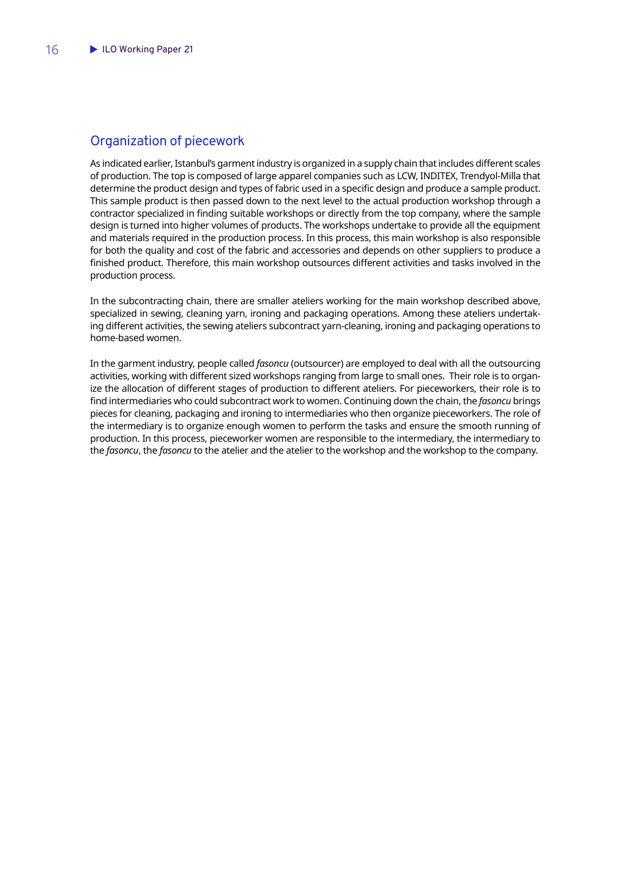### <span id="page-17-0"></span>Organization of piecework

As indicated earlier, Istanbul's garment industry is organized in a supply chain that includes different scales of production. The top is composed of large apparel companies such as LCW, INDITEX, Trendyol-Milla that determine the product design and types of fabric used in a specific design and produce a sample product. This sample product is then passed down to the next level to the actual production workshop through a contractor specialized in finding suitable workshops or directly from the top company, where the sample design is turned into higher volumes of products. The workshops undertake to provide all the equipment and materials required in the production process. In this process, this main workshop is also responsible for both the quality and cost of the fabric and accessories and depends on other suppliers to produce a finished product. Therefore, this main workshop outsources different activities and tasks involved in the production process.

In the subcontracting chain, there are smaller ateliers working for the main workshop described above, specialized in sewing, cleaning yarn, ironing and packaging operations. Among these ateliers undertaking different activities, the sewing ateliers subcontract yarn-cleaning, ironing and packaging operations to home-based women.

In the garment industry, people called *fasoncu* (outsourcer) are employed to deal with all the outsourcing activities, working with different sized workshops ranging from large to small ones. Their role is to organize the allocation of different stages of production to different ateliers. For pieceworkers, their role is to find intermediaries who could subcontract work to women. Continuing down the chain, the *fasoncu* brings pieces for cleaning, packaging and ironing to intermediaries who then organize pieceworkers. The role of the intermediary is to organize enough women to perform the tasks and ensure the smooth running of production. In this process, pieceworker women are responsible to the intermediary, the intermediary to the *fasoncu*, the *fasoncu* to the atelier and the atelier to the workshop and the workshop to the company.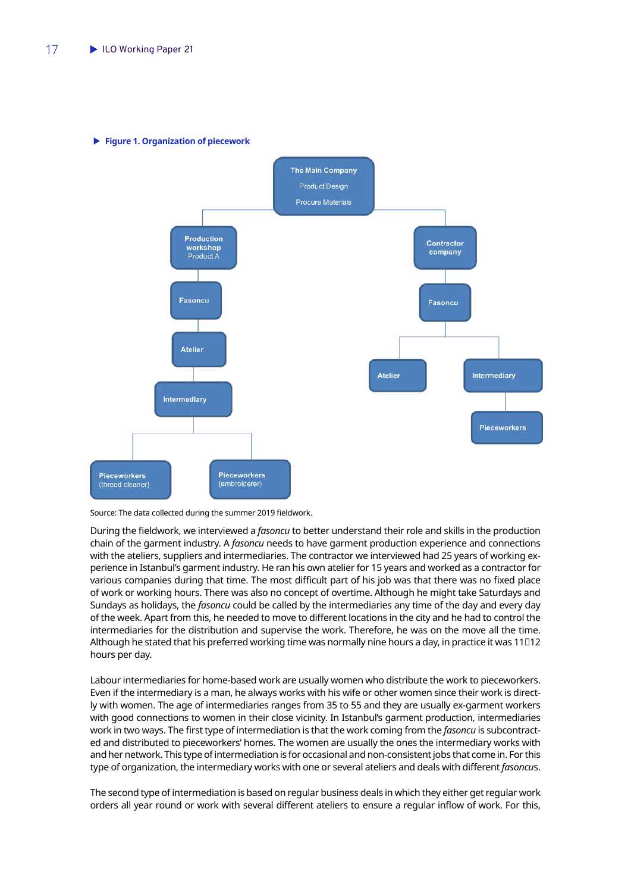

X **Figure 1. Organization of piecework**

Source: The data collected during the summer 2019 fieldwork.

During the fieldwork, we interviewed a *fasoncu* to better understand their role and skills in the production chain of the garment industry. A *fasoncu* needs to have garment production experience and connections with the ateliers, suppliers and intermediaries. The contractor we interviewed had 25 years of working experience in Istanbul's garment industry. He ran his own atelier for 15 years and worked as a contractor for various companies during that time. The most difficult part of his job was that there was no fixed place of work or working hours. There was also no concept of overtime. Although he might take Saturdays and Sundays as holidays, the *fasoncu* could be called by the intermediaries any time of the day and every day of the week. Apart from this, he needed to move to different locations in the city and he had to control the intermediaries for the distribution and supervise the work. Therefore, he was on the move all the time. Although he stated that his preferred working time was normally nine hours a day, in practice it was 11□12 hours per day.

Labour intermediaries for home-based work are usually women who distribute the work to pieceworkers. Even if the intermediary is a man, he always works with his wife or other women since their work is directly with women. The age of intermediaries ranges from 35 to 55 and they are usually ex-garment workers with good connections to women in their close vicinity. In Istanbul's garment production, intermediaries work in two ways. The first type of intermediation is that the work coming from the *fasoncu* is subcontracted and distributed to pieceworkers' homes. The women are usually the ones the intermediary works with and her network. This type of intermediation is for occasional and non-consistent jobs that come in. For this type of organization, the intermediary works with one or several ateliers and deals with different *fasoncu*s.

The second type of intermediation is based on regular business deals in which they either get regular work orders all year round or work with several different ateliers to ensure a regular inflow of work. For this,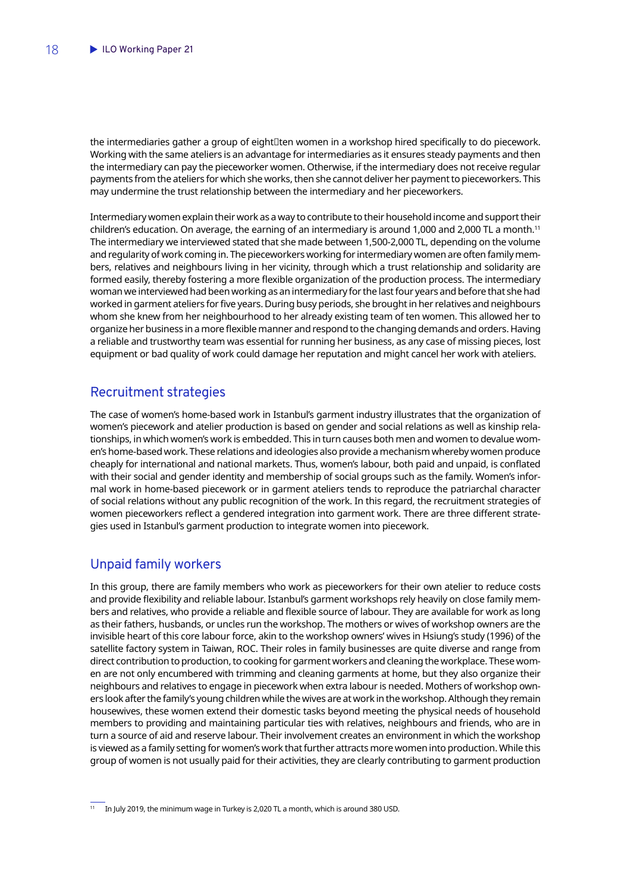<span id="page-19-0"></span>the intermediaries gather a group of eight□ten women in a workshop hired specifically to do piecework. Working with the same ateliers is an advantage for intermediaries as it ensures steady payments and then the intermediary can pay the pieceworker women. Otherwise, if the intermediary does not receive regular payments from the ateliers for which she works, then she cannot deliver her payment to pieceworkers. This may undermine the trust relationship between the intermediary and her pieceworkers.

Intermediary women explain their work as a way to contribute to their household income and support their children's education. On average, the earning of an intermediary is around 1,000 and 2,000 TL a month.11 The intermediary we interviewed stated that she made between 1,500-2,000 TL, depending on the volume and regularity of work coming in. The pieceworkers working for intermediary women are often family members, relatives and neighbours living in her vicinity, through which a trust relationship and solidarity are formed easily, thereby fostering a more flexible organization of the production process. The intermediary woman we interviewed had been working as an intermediary for the last four years and before that she had worked in garment ateliers for five years. During busy periods, she brought in her relatives and neighbours whom she knew from her neighbourhood to her already existing team of ten women. This allowed her to organize her business in a more flexible manner and respond to the changing demands and orders. Having a reliable and trustworthy team was essential for running her business, as any case of missing pieces, lost equipment or bad quality of work could damage her reputation and might cancel her work with ateliers.

### Recruitment strategies

The case of women's home-based work in Istanbul's garment industry illustrates that the organization of women's piecework and atelier production is based on gender and social relations as well as kinship relationships, in which women's work is embedded. This in turn causes both men and women to devalue women's home-based work. These relations and ideologies also provide a mechanism whereby women produce cheaply for international and national markets. Thus, women's labour, both paid and unpaid, is conflated with their social and gender identity and membership of social groups such as the family. Women's informal work in home-based piecework or in garment ateliers tends to reproduce the patriarchal character of social relations without any public recognition of the work. In this regard, the recruitment strategies of women pieceworkers reflect a gendered integration into garment work. There are three different strategies used in Istanbul's garment production to integrate women into piecework.

### Unpaid family workers

In this group, there are family members who work as pieceworkers for their own atelier to reduce costs and provide flexibility and reliable labour. Istanbul's garment workshops rely heavily on close family members and relatives, who provide a reliable and flexible source of labour. They are available for work as long as their fathers, husbands, or uncles run the workshop. The mothers or wives of workshop owners are the invisible heart of this core labour force, akin to the workshop owners' wives in Hsiung's study (1996) of the satellite factory system in Taiwan, ROC. Their roles in family businesses are quite diverse and range from direct contribution to production, to cooking for garment workers and cleaning the workplace. These women are not only encumbered with trimming and cleaning garments at home, but they also organize their neighbours and relatives to engage in piecework when extra labour is needed. Mothers of workshop owners look after the family's young children while the wives are at work in the workshop. Although they remain housewives, these women extend their domestic tasks beyond meeting the physical needs of household members to providing and maintaining particular ties with relatives, neighbours and friends, who are in turn a source of aid and reserve labour. Their involvement creates an environment in which the workshop is viewed as a family setting for women's work that further attracts more women into production. While this group of women is not usually paid for their activities, they are clearly contributing to garment production

<sup>&</sup>lt;sup>11</sup> In July 2019, the minimum wage in Turkey is 2,020 TL a month, which is around 380 USD.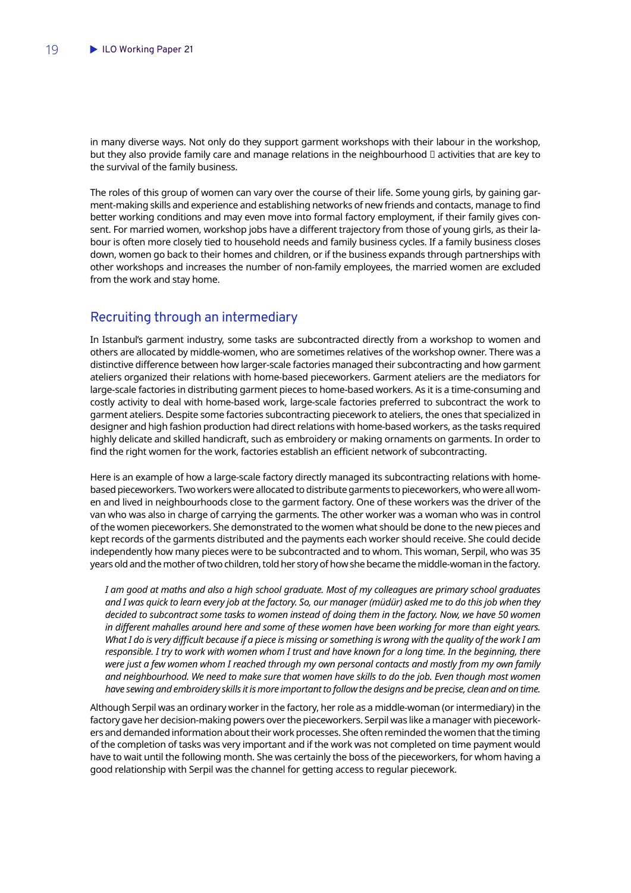<span id="page-20-0"></span>in many diverse ways. Not only do they support garment workshops with their labour in the workshop, but they also provide family care and manage relations in the neighbourhood  $□$  activities that are key to the survival of the family business.

The roles of this group of women can vary over the course of their life. Some young girls, by gaining garment-making skills and experience and establishing networks of new friends and contacts, manage to find better working conditions and may even move into formal factory employment, if their family gives consent. For married women, workshop jobs have a different trajectory from those of young girls, as their labour is often more closely tied to household needs and family business cycles. If a family business closes down, women go back to their homes and children, or if the business expands through partnerships with other workshops and increases the number of non-family employees, the married women are excluded from the work and stay home.

#### Recruiting through an intermediary

In Istanbul's garment industry, some tasks are subcontracted directly from a workshop to women and others are allocated by middle-women, who are sometimes relatives of the workshop owner. There was a distinctive difference between how larger-scale factories managed their subcontracting and how garment ateliers organized their relations with home-based pieceworkers. Garment ateliers are the mediators for large-scale factories in distributing garment pieces to home-based workers. As it is a time-consuming and costly activity to deal with home-based work, large-scale factories preferred to subcontract the work to garment ateliers. Despite some factories subcontracting piecework to ateliers, the ones that specialized in designer and high fashion production had direct relations with home-based workers, as the tasks required highly delicate and skilled handicraft, such as embroidery or making ornaments on garments. In order to find the right women for the work, factories establish an efficient network of subcontracting.

Here is an example of how a large-scale factory directly managed its subcontracting relations with homebased pieceworkers. Two workers were allocated to distribute garments to pieceworkers, who were all women and lived in neighbourhoods close to the garment factory. One of these workers was the driver of the van who was also in charge of carrying the garments. The other worker was a woman who was in control of the women pieceworkers. She demonstrated to the women what should be done to the new pieces and kept records of the garments distributed and the payments each worker should receive. She could decide independently how many pieces were to be subcontracted and to whom. This woman, Serpil, who was 35 years old and the mother of two children, told her story of how she became the middle-woman in the factory.

*I am good at maths and also a high school graduate. Most of my colleagues are primary school graduates and I was quick to learn every job at the factory. So, our manager (müdür) asked me to do this job when they decided to subcontract some tasks to women instead of doing them in the factory. Now, we have 50 women in different mahalles around here and some of these women have been working for more than eight years. What I do is very difficult because if a piece is missing or something is wrong with the quality of the work I am responsible. I try to work with women whom I trust and have known for a long time. In the beginning, there were just a few women whom I reached through my own personal contacts and mostly from my own family and neighbourhood. We need to make sure that women have skills to do the job. Even though most women have sewing and embroidery skills it is more important to follow the designs and be precise, clean and on time.*

Although Serpil was an ordinary worker in the factory, her role as a middle-woman (or intermediary) in the factory gave her decision-making powers over the pieceworkers. Serpil was like a manager with pieceworkers and demanded information about their work processes. She often reminded the women that the timing of the completion of tasks was very important and if the work was not completed on time payment would have to wait until the following month. She was certainly the boss of the pieceworkers, for whom having a good relationship with Serpil was the channel for getting access to regular piecework.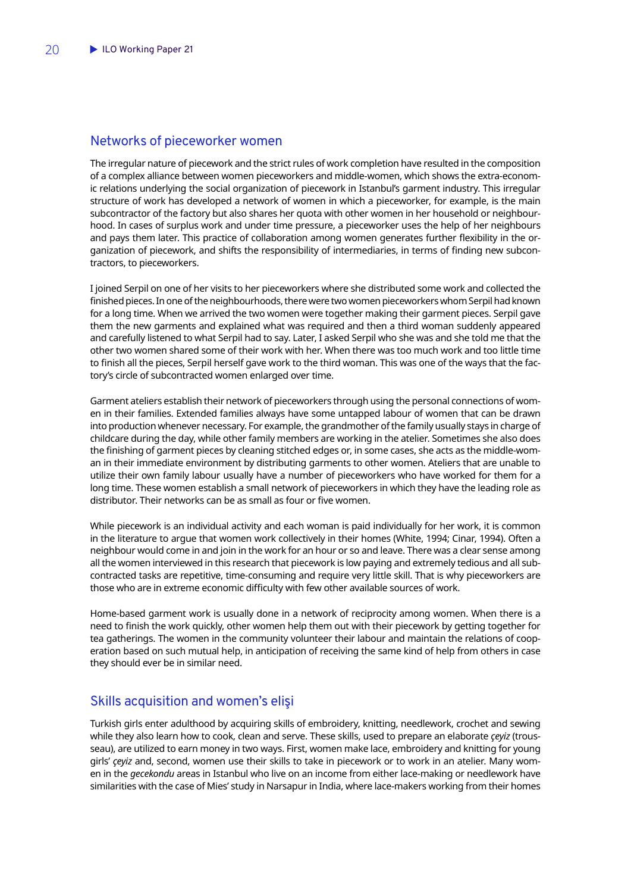#### <span id="page-21-0"></span>Networks of pieceworker women

The irregular nature of piecework and the strict rules of work completion have resulted in the composition of a complex alliance between women pieceworkers and middle-women, which shows the extra-economic relations underlying the social organization of piecework in Istanbul's garment industry. This irregular structure of work has developed a network of women in which a pieceworker, for example, is the main subcontractor of the factory but also shares her quota with other women in her household or neighbourhood. In cases of surplus work and under time pressure, a pieceworker uses the help of her neighbours and pays them later. This practice of collaboration among women generates further flexibility in the organization of piecework, and shifts the responsibility of intermediaries, in terms of finding new subcontractors, to pieceworkers.

I joined Serpil on one of her visits to her pieceworkers where she distributed some work and collected the finished pieces. In one of the neighbourhoods, there were two women pieceworkers whom Serpil had known for a long time. When we arrived the two women were together making their garment pieces. Serpil gave them the new garments and explained what was required and then a third woman suddenly appeared and carefully listened to what Serpil had to say. Later, I asked Serpil who she was and she told me that the other two women shared some of their work with her. When there was too much work and too little time to finish all the pieces, Serpil herself gave work to the third woman. This was one of the ways that the factory's circle of subcontracted women enlarged over time.

Garment ateliers establish their network of pieceworkers through using the personal connections of women in their families. Extended families always have some untapped labour of women that can be drawn into production whenever necessary. For example, the grandmother of the family usually stays in charge of childcare during the day, while other family members are working in the atelier. Sometimes she also does the finishing of garment pieces by cleaning stitched edges or, in some cases, she acts as the middle-woman in their immediate environment by distributing garments to other women. Ateliers that are unable to utilize their own family labour usually have a number of pieceworkers who have worked for them for a long time. These women establish a small network of pieceworkers in which they have the leading role as distributor. Their networks can be as small as four or five women.

While piecework is an individual activity and each woman is paid individually for her work, it is common in the literature to argue that women work collectively in their homes (White, 1994; Cinar, 1994). Often a neighbour would come in and join in the work for an hour or so and leave. There was a clear sense among all the women interviewed in this research that piecework is low paying and extremely tedious and all subcontracted tasks are repetitive, time-consuming and require very little skill. That is why pieceworkers are those who are in extreme economic difficulty with few other available sources of work.

Home-based garment work is usually done in a network of reciprocity among women. When there is a need to finish the work quickly, other women help them out with their piecework by getting together for tea gatherings. The women in the community volunteer their labour and maintain the relations of cooperation based on such mutual help, in anticipation of receiving the same kind of help from others in case they should ever be in similar need.

### Skills acquisition and women's elişi

Turkish girls enter adulthood by acquiring skills of embroidery, knitting, needlework, crochet and sewing while they also learn how to cook, clean and serve. These skills, used to prepare an elaborate *çeyiz* (trousseau), are utilized to earn money in two ways. First, women make lace, embroidery and knitting for young girls' *çeyiz* and, second, women use their skills to take in piecework or to work in an atelier. Many women in the *gecekondu* areas in Istanbul who live on an income from either lace-making or needlework have similarities with the case of Mies' study in Narsapur in India, where lace-makers working from their homes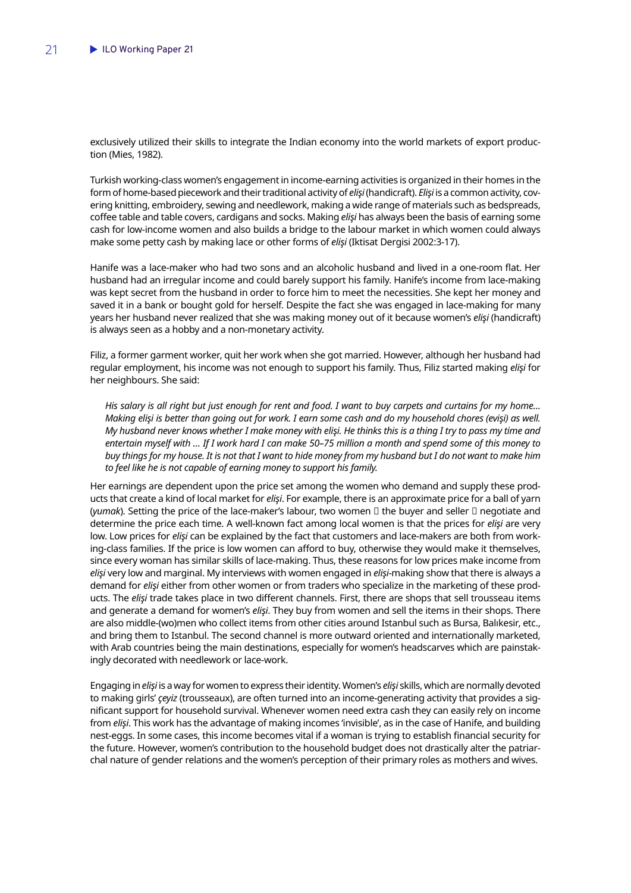exclusively utilized their skills to integrate the Indian economy into the world markets of export production (Mies, 1982).

Turkish working-class women's engagement in income-earning activities is organized in their homes in the form of home-based piecework and their traditional activity of *elişi* (handicraft). *Elişi* is a common activity, covering knitting, embroidery, sewing and needlework, making a wide range of materials such as bedspreads, coffee table and table covers, cardigans and socks. Making *elişi* has always been the basis of earning some cash for low-income women and also builds a bridge to the labour market in which women could always make some petty cash by making lace or other forms of *elişi* (Iktisat Dergisi 2002:3-17).

Hanife was a lace-maker who had two sons and an alcoholic husband and lived in a one-room flat. Her husband had an irregular income and could barely support his family. Hanife's income from lace-making was kept secret from the husband in order to force him to meet the necessities. She kept her money and saved it in a bank or bought gold for herself. Despite the fact she was engaged in lace-making for many years her husband never realized that she was making money out of it because women's *elişi* (handicraft) is always seen as a hobby and a non-monetary activity.

Filiz, a former garment worker, quit her work when she got married. However, although her husband had regular employment, his income was not enough to support his family. Thus, Filiz started making *elişi* for her neighbours. She said:

*His salary is all right but just enough for rent and food. I want to buy carpets and curtains for my home… Making elişi is better than going out for work. I earn some cash and do my household chores (evişi) as well. My husband never knows whether I make money with elişi. He thinks this is a thing I try to pass my time and entertain myself with … If I work hard I can make 50–75 million a month and spend some of this money to buy things for my house. It is not that I want to hide money from my husband but I do not want to make him to feel like he is not capable of earning money to support his family.*

Her earnings are dependent upon the price set among the women who demand and supply these products that create a kind of local market for *elişi*. For example, there is an approximate price for a ball of yarn (*yumak*). Setting the price of the lace-maker's labour, two women  $\Box$  the buyer and seller  $\Box$  negotiate and determine the price each time. A well-known fact among local women is that the prices for *elişi* are very low. Low prices for *elişi* can be explained by the fact that customers and lace-makers are both from working-class families. If the price is low women can afford to buy, otherwise they would make it themselves, since every woman has similar skills of lace-making. Thus, these reasons for low prices make income from *elişi* very low and marginal. My interviews with women engaged in *elişi-*making show that there is always a demand for *elişi* either from other women or from traders who specialize in the marketing of these products. The *elişi* trade takes place in two different channels. First, there are shops that sell trousseau items and generate a demand for women's *elişi*. They buy from women and sell the items in their shops. There are also middle-(wo)men who collect items from other cities around Istanbul such as Bursa, Balıkesir, etc., and bring them to Istanbul. The second channel is more outward oriented and internationally marketed, with Arab countries being the main destinations, especially for women's headscarves which are painstakingly decorated with needlework or lace-work.

Engaging in *elişi* is a way for women to express their identity. Women's *elişi* skills, which are normally devoted to making girls' *çeyiz* (trousseaux), are often turned into an income-generating activity that provides a significant support for household survival. Whenever women need extra cash they can easily rely on income from *elişi*. This work has the advantage of making incomes 'invisible', as in the case of Hanife, and building nest-eggs. In some cases, this income becomes vital if a woman is trying to establish financial security for the future. However, women's contribution to the household budget does not drastically alter the patriarchal nature of gender relations and the women's perception of their primary roles as mothers and wives.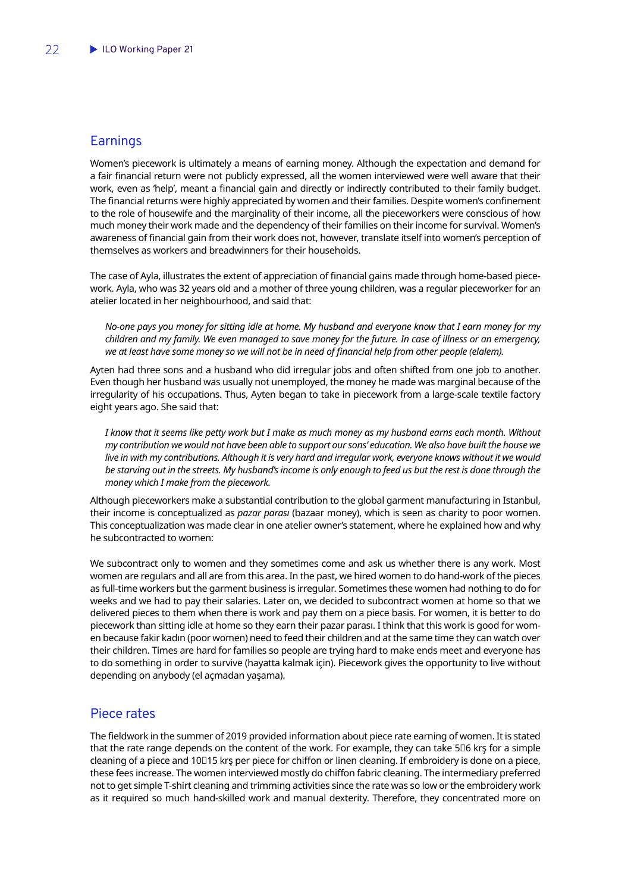### <span id="page-23-0"></span>**Earnings**

Women's piecework is ultimately a means of earning money. Although the expectation and demand for a fair financial return were not publicly expressed, all the women interviewed were well aware that their work, even as 'help', meant a financial gain and directly or indirectly contributed to their family budget. The financial returns were highly appreciated by women and their families. Despite women's confinement to the role of housewife and the marginality of their income, all the pieceworkers were conscious of how much money their work made and the dependency of their families on their income for survival. Women's awareness of financial gain from their work does not, however, translate itself into women's perception of themselves as workers and breadwinners for their households.

The case of Ayla, illustrates the extent of appreciation of financial gains made through home-based piecework. Ayla, who was 32 years old and a mother of three young children, was a regular pieceworker for an atelier located in her neighbourhood, and said that:

*No-one pays you money for sitting idle at home. My husband and everyone know that I earn money for my children and my family. We even managed to save money for the future. In case of illness or an emergency, we at least have some money so we will not be in need of financial help from other people (elalem).*

Ayten had three sons and a husband who did irregular jobs and often shifted from one job to another. Even though her husband was usually not unemployed, the money he made was marginal because of the irregularity of his occupations. Thus, Ayten began to take in piecework from a large-scale textile factory eight years ago. She said that:

*I know that it seems like petty work but I make as much money as my husband earns each month. Without my contribution we would not have been able to support our sons' education. We also have built the house we live in with my contributions. Although it is very hard and irregular work, everyone knows without it we would*  be starving out in the streets. My husband's income is only enough to feed us but the rest is done through the *money which I make from the piecework.*

Although pieceworkers make a substantial contribution to the global garment manufacturing in Istanbul, their income is conceptualized as *pazar parası* (bazaar money), which is seen as charity to poor women. This conceptualization was made clear in one atelier owner's statement, where he explained how and why he subcontracted to women:

We subcontract only to women and they sometimes come and ask us whether there is any work. Most women are regulars and all are from this area. In the past, we hired women to do hand-work of the pieces as full-time workers but the garment business is irregular. Sometimes these women had nothing to do for weeks and we had to pay their salaries. Later on, we decided to subcontract women at home so that we delivered pieces to them when there is work and pay them on a piece basis. For women, it is better to do piecework than sitting idle at home so they earn their pazar parası. I think that this work is good for women because fakir kadın (poor women) need to feed their children and at the same time they can watch over their children. Times are hard for families so people are trying hard to make ends meet and everyone has to do something in order to survive (hayatta kalmak için). Piecework gives the opportunity to live without depending on anybody (el açmadan yaşama).

### Piece rates

The fieldwork in the summer of 2019 provided information about piece rate earning of women. It is stated that the rate range depends on the content of the work. For example, they can take 5□6 krş for a simple cleaning of a piece and 10□15 krs per piece for chiffon or linen cleaning. If embroidery is done on a piece, these fees increase. The women interviewed mostly do chiffon fabric cleaning. The intermediary preferred not to get simple T-shirt cleaning and trimming activities since the rate was so low or the embroidery work as it required so much hand-skilled work and manual dexterity. Therefore, they concentrated more on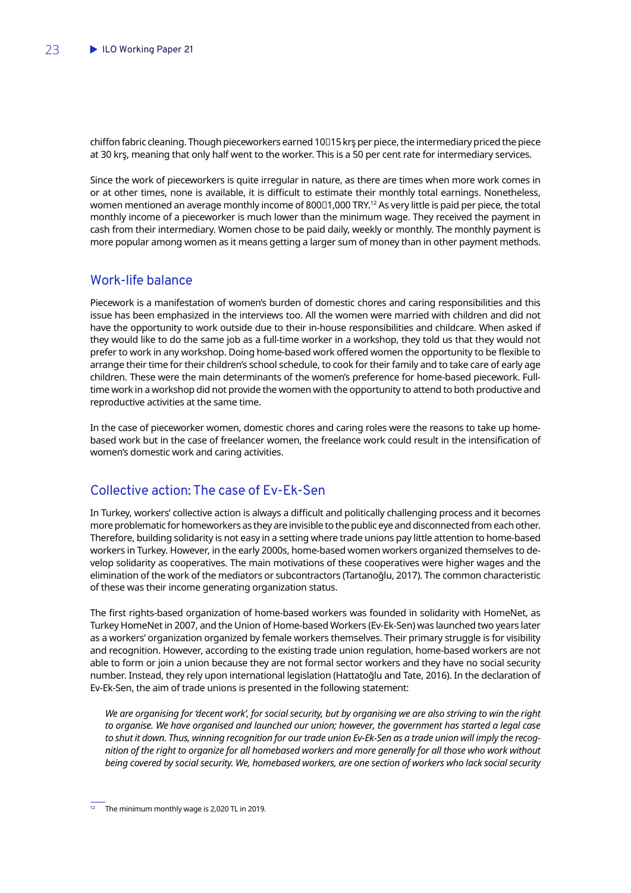<span id="page-24-0"></span>chiffon fabric cleaning. Though pieceworkers earned 10□15 krş per piece, the intermediary priced the piece at 30 krş, meaning that only half went to the worker. This is a 50 per cent rate for intermediary services.

Since the work of pieceworkers is quite irregular in nature, as there are times when more work comes in or at other times, none is available, it is difficult to estimate their monthly total earnings. Nonetheless, women mentioned an average monthly income of 800□1,000 TRY.<sup>12</sup> As very little is paid per piece, the total monthly income of a pieceworker is much lower than the minimum wage. They received the payment in cash from their intermediary. Women chose to be paid daily, weekly or monthly. The monthly payment is more popular among women as it means getting a larger sum of money than in other payment methods.

### Work-life balance

Piecework is a manifestation of women's burden of domestic chores and caring responsibilities and this issue has been emphasized in the interviews too. All the women were married with children and did not have the opportunity to work outside due to their in-house responsibilities and childcare. When asked if they would like to do the same job as a full-time worker in a workshop, they told us that they would not prefer to work in any workshop. Doing home-based work offered women the opportunity to be flexible to arrange their time for their children's school schedule, to cook for their family and to take care of early age children. These were the main determinants of the women's preference for home-based piecework. Fulltime work in a workshop did not provide the women with the opportunity to attend to both productive and reproductive activities at the same time.

In the case of pieceworker women, domestic chores and caring roles were the reasons to take up homebased work but in the case of freelancer women, the freelance work could result in the intensification of women's domestic work and caring activities.

### Collective action: The case of Ev-Ek-Sen

In Turkey, workers' collective action is always a difficult and politically challenging process and it becomes more problematic for homeworkers as they are invisible to the public eye and disconnected from each other. Therefore, building solidarity is not easy in a setting where trade unions pay little attention to home-based workers in Turkey. However, in the early 2000s, home-based women workers organized themselves to develop solidarity as cooperatives. The main motivations of these cooperatives were higher wages and the elimination of the work of the mediators or subcontractors (Tartanoğlu, 2017). The common characteristic of these was their income generating organization status.

The first rights-based organization of home-based workers was founded in solidarity with HomeNet, as Turkey HomeNet in 2007, and the Union of Home-based Workers (Ev-Ek-Sen) was launched two years later as a workers' organization organized by female workers themselves. Their primary struggle is for visibility and recognition. However, according to the existing trade union regulation, home-based workers are not able to form or join a union because they are not formal sector workers and they have no social security number. Instead, they rely upon international legislation (Hattatoğlu and Tate, 2016). In the declaration of Ev-Ek-Sen, the aim of trade unions is presented in the following statement:

*We are organising for 'decent work', for social security, but by organising we are also striving to win the right to organise. We have organised and launched our union; however, the government has started a legal case to shut it down. Thus, winning recognition for our trade union Ev-Ek-Sen as a trade union will imply the recognition of the right to organize for all homebased workers and more generally for all those who work without being covered by social security. We, homebased workers, are one section of workers who lack social security*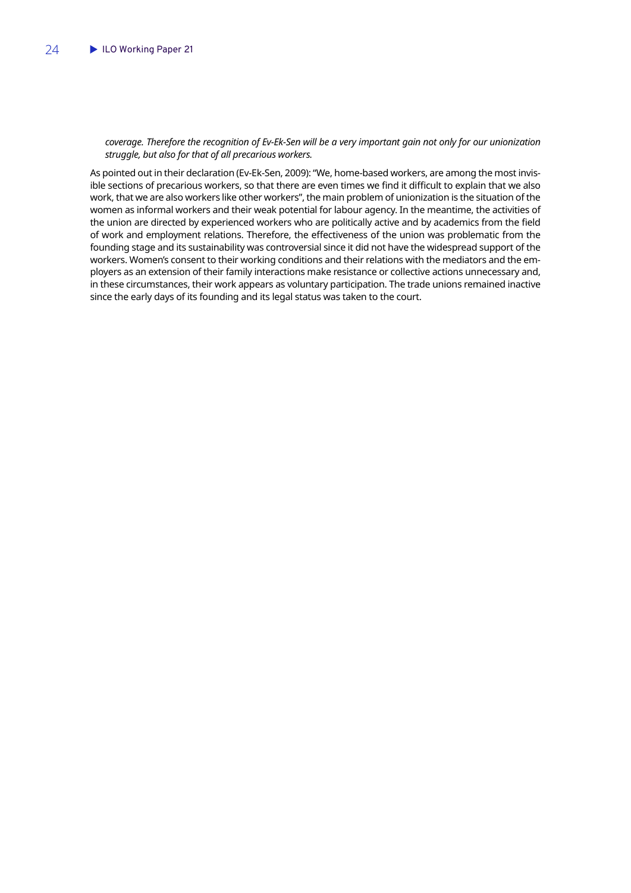#### *coverage. Therefore the recognition of Ev-Ek-Sen will be a very important gain not only for our unionization struggle, but also for that of all precarious workers.*

As pointed out in their declaration (Ev-Ek-Sen, 2009): "We, home-based workers, are among the most invisible sections of precarious workers, so that there are even times we find it difficult to explain that we also work, that we are also workers like other workers", the main problem of unionization is the situation of the women as informal workers and their weak potential for labour agency. In the meantime, the activities of the union are directed by experienced workers who are politically active and by academics from the field of work and employment relations. Therefore, the effectiveness of the union was problematic from the founding stage and its sustainability was controversial since it did not have the widespread support of the workers. Women's consent to their working conditions and their relations with the mediators and the employers as an extension of their family interactions make resistance or collective actions unnecessary and, in these circumstances, their work appears as voluntary participation. The trade unions remained inactive since the early days of its founding and its legal status was taken to the court.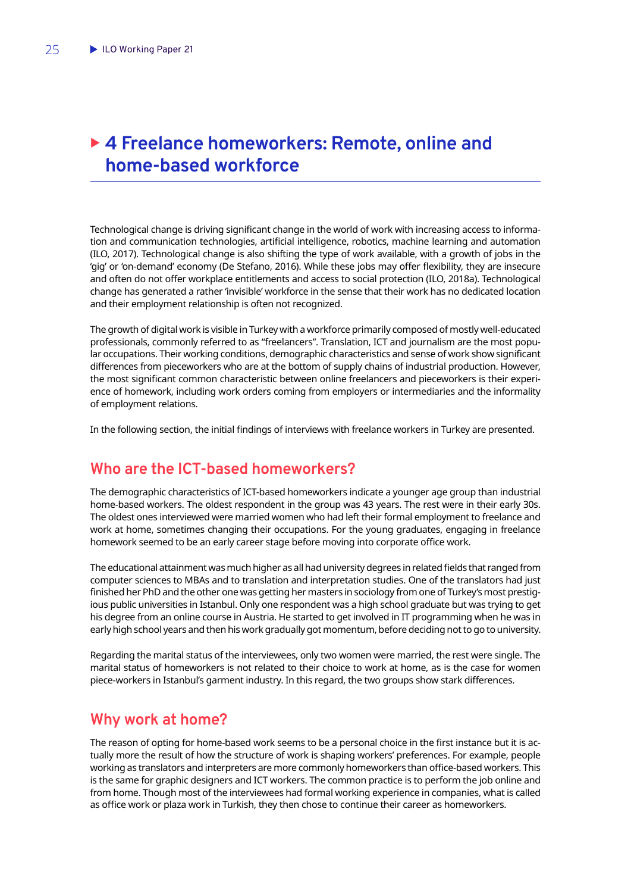## <span id="page-26-0"></span>▶ 4 Freelance homeworkers: Remote, online and **home-based workforce**

Technological change is driving significant change in the world of work with increasing access to information and communication technologies, artificial intelligence, robotics, machine learning and automation (ILO, 2017). Technological change is also shifting the type of work available, with a growth of jobs in the 'gig' or 'on-demand' economy (De Stefano, 2016). While these jobs may offer flexibility, they are insecure and often do not offer workplace entitlements and access to social protection (ILO, 2018a). Technological change has generated a rather 'invisible' workforce in the sense that their work has no dedicated location and their employment relationship is often not recognized.

The growth of digital work is visible in Turkey with a workforce primarily composed of mostly well-educated professionals, commonly referred to as "freelancers". Translation, ICT and journalism are the most popular occupations. Their working conditions, demographic characteristics and sense of work show significant differences from pieceworkers who are at the bottom of supply chains of industrial production. However, the most significant common characteristic between online freelancers and pieceworkers is their experience of homework, including work orders coming from employers or intermediaries and the informality of employment relations.

In the following section, the initial findings of interviews with freelance workers in Turkey are presented.

## **Who are the ICT-based homeworkers?**

The demographic characteristics of ICT-based homeworkers indicate a younger age group than industrial home-based workers. The oldest respondent in the group was 43 years. The rest were in their early 30s. The oldest ones interviewed were married women who had left their formal employment to freelance and work at home, sometimes changing their occupations. For the young graduates, engaging in freelance homework seemed to be an early career stage before moving into corporate office work.

The educational attainment was much higher as all had university degrees in related fields that ranged from computer sciences to MBAs and to translation and interpretation studies. One of the translators had just finished her PhD and the other one was getting her masters in sociology from one of Turkey's most prestigious public universities in Istanbul. Only one respondent was a high school graduate but was trying to get his degree from an online course in Austria. He started to get involved in IT programming when he was in early high school years and then his work gradually got momentum, before deciding not to go to university.

Regarding the marital status of the interviewees, only two women were married, the rest were single. The marital status of homeworkers is not related to their choice to work at home, as is the case for women piece-workers in Istanbul's garment industry. In this regard, the two groups show stark differences.

## **Why work at home?**

The reason of opting for home-based work seems to be a personal choice in the first instance but it is actually more the result of how the structure of work is shaping workers' preferences. For example, people working as translators and interpreters are more commonly homeworkers than office-based workers. This is the same for graphic designers and ICT workers. The common practice is to perform the job online and from home. Though most of the interviewees had formal working experience in companies, what is called as office work or plaza work in Turkish, they then chose to continue their career as homeworkers.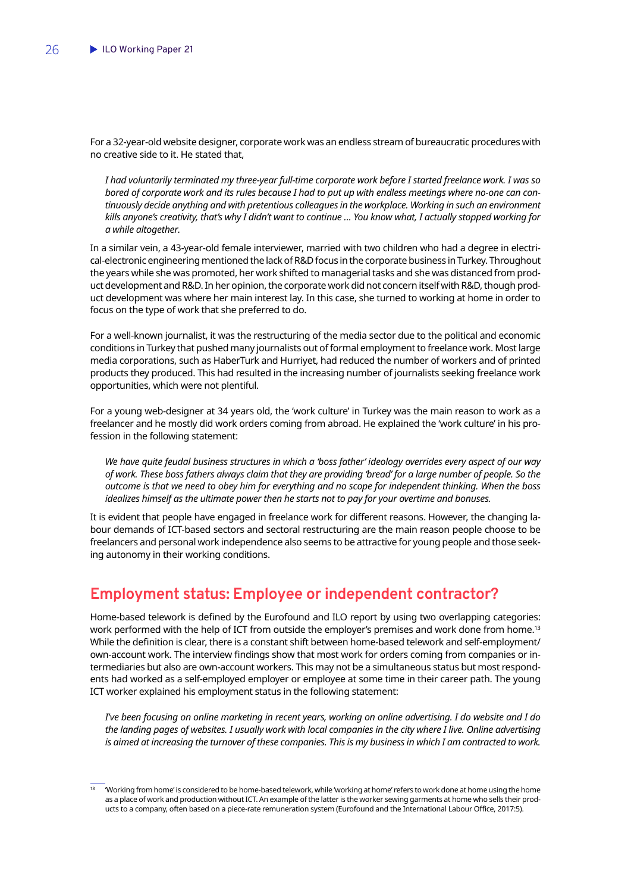<span id="page-27-0"></span>For a 32-year-old website designer, corporate work was an endless stream of bureaucratic procedures with no creative side to it. He stated that,

*I had voluntarily terminated my three-year full-time corporate work before I started freelance work. I was so bored of corporate work and its rules because I had to put up with endless meetings where no-one can continuously decide anything and with pretentious colleagues in the workplace. Working in such an environment kills anyone's creativity, that's why I didn't want to continue … You know what, I actually stopped working for a while altogether.* 

In a similar vein, a 43-year-old female interviewer, married with two children who had a degree in electrical-electronic engineering mentioned the lack of R&D focus in the corporate business in Turkey. Throughout the years while she was promoted, her work shifted to managerial tasks and she was distanced from product development and R&D. In her opinion, the corporate work did not concern itself with R&D, though product development was where her main interest lay. In this case, she turned to working at home in order to focus on the type of work that she preferred to do.

For a well-known journalist, it was the restructuring of the media sector due to the political and economic conditions in Turkey that pushed many journalists out of formal employment to freelance work. Most large media corporations, such as HaberTurk and Hurriyet, had reduced the number of workers and of printed products they produced. This had resulted in the increasing number of journalists seeking freelance work opportunities, which were not plentiful.

For a young web-designer at 34 years old, the 'work culture' in Turkey was the main reason to work as a freelancer and he mostly did work orders coming from abroad. He explained the 'work culture' in his profession in the following statement:

*We have quite feudal business structures in which a 'boss father' ideology overrides every aspect of our way of work. These boss fathers always claim that they are providing 'bread' for a large number of people. So the outcome is that we need to obey him for everything and no scope for independent thinking. When the boss idealizes himself as the ultimate power then he starts not to pay for your overtime and bonuses.* 

It is evident that people have engaged in freelance work for different reasons. However, the changing labour demands of ICT-based sectors and sectoral restructuring are the main reason people choose to be freelancers and personal work independence also seems to be attractive for young people and those seeking autonomy in their working conditions.

## **Employment status: Employee or independent contractor?**

Home-based telework is defined by the Eurofound and ILO report by using two overlapping categories: work performed with the help of ICT from outside the employer's premises and work done from home.<sup>13</sup> While the definition is clear, there is a constant shift between home-based telework and self-employment/ own-account work. The interview findings show that most work for orders coming from companies or intermediaries but also are own-account workers. This may not be a simultaneous status but most respondents had worked as a self-employed employer or employee at some time in their career path. The young ICT worker explained his employment status in the following statement:

*I've been focusing on online marketing in recent years, working on online advertising. I do website and I do the landing pages of websites. I usually work with local companies in the city where I live. Online advertising is aimed at increasing the turnover of these companies. This is my business in which I am contracted to work.* 

<sup>13</sup> 'Working from home' is considered to be home-based telework, while 'working at home' refers to work done at home using the home as a place of work and production without ICT. An example of the latter is the worker sewing garments at home who sells their products to a company, often based on a piece-rate remuneration system (Eurofound and the International Labour Office, 2017:5).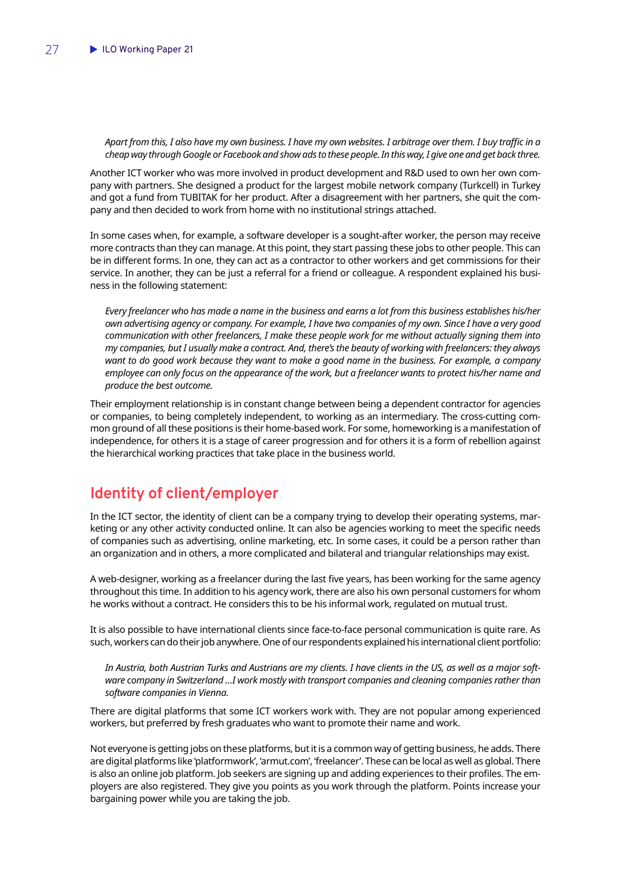<span id="page-28-0"></span>*Apart from this, I also have my own business. I have my own websites. I arbitrage over them. I buy traffic in a cheap way through Google or Facebook and show ads to these people. In this way, I give one and get back three.*

Another ICT worker who was more involved in product development and R&D used to own her own company with partners. She designed a product for the largest mobile network company (Turkcell) in Turkey and got a fund from TUBITAK for her product. After a disagreement with her partners, she quit the company and then decided to work from home with no institutional strings attached.

In some cases when, for example, a software developer is a sought-after worker, the person may receive more contracts than they can manage. At this point, they start passing these jobs to other people. This can be in different forms. In one, they can act as a contractor to other workers and get commissions for their service. In another, they can be just a referral for a friend or colleague. A respondent explained his business in the following statement:

*Every freelancer who has made a name in the business and earns a lot from this business establishes his/her own advertising agency or company. For example, I have two companies of my own. Since I have a very good communication with other freelancers, I make these people work for me without actually signing them into my companies, but I usually make a contract. And, there's the beauty of working with freelancers: they always want to do good work because they want to make a good name in the business. For example, a company employee can only focus on the appearance of the work, but a freelancer wants to protect his/her name and produce the best outcome.* 

Their employment relationship is in constant change between being a dependent contractor for agencies or companies, to being completely independent, to working as an intermediary. The cross-cutting common ground of all these positions is their home-based work. For some, homeworking is a manifestation of independence, for others it is a stage of career progression and for others it is a form of rebellion against the hierarchical working practices that take place in the business world.

## **Identity of client/employer**

In the ICT sector, the identity of client can be a company trying to develop their operating systems, marketing or any other activity conducted online. It can also be agencies working to meet the specific needs of companies such as advertising, online marketing, etc. In some cases, it could be a person rather than an organization and in others, a more complicated and bilateral and triangular relationships may exist.

A web-designer, working as a freelancer during the last five years, has been working for the same agency throughout this time. In addition to his agency work, there are also his own personal customers for whom he works without a contract. He considers this to be his informal work, regulated on mutual trust.

It is also possible to have international clients since face-to-face personal communication is quite rare. As such, workers can do their job anywhere. One of our respondents explained his international client portfolio:

*In Austria, both Austrian Turks and Austrians are my clients. I have clients in the US, as well as a major software company in Switzerland …I work mostly with transport companies and cleaning companies rather than software companies in Vienna.*

There are digital platforms that some ICT workers work with. They are not popular among experienced workers, but preferred by fresh graduates who want to promote their name and work.

Not everyone is getting jobs on these platforms, but it is a common way of getting business, he adds. There are digital platforms like 'platformwork', 'armut.com', 'freelancer'. These can be local as well as global. There is also an online job platform. Job seekers are signing up and adding experiences to their profiles. The employers are also registered. They give you points as you work through the platform. Points increase your bargaining power while you are taking the job.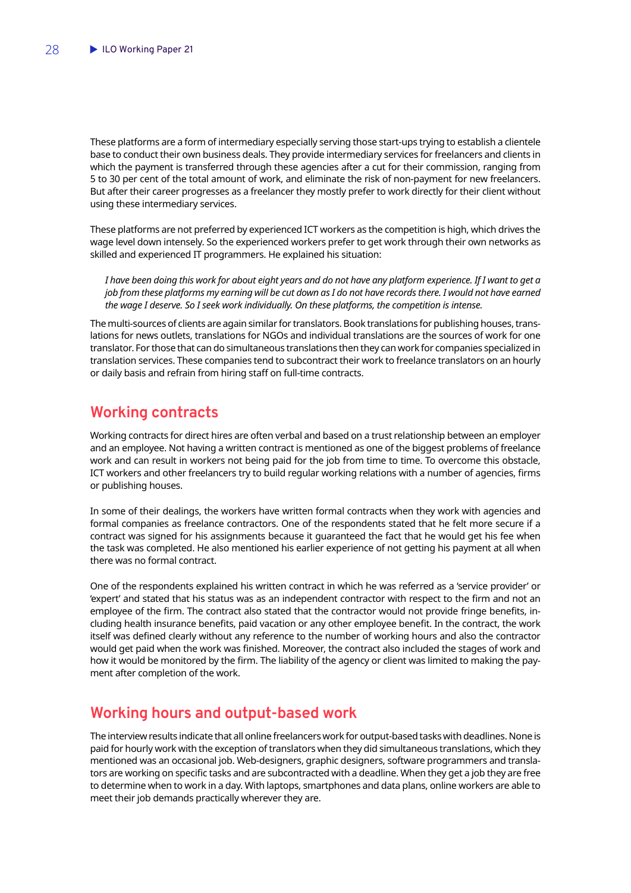<span id="page-29-0"></span>These platforms are a form of intermediary especially serving those start-ups trying to establish a clientele base to conduct their own business deals. They provide intermediary services for freelancers and clients in which the payment is transferred through these agencies after a cut for their commission, ranging from 5 to 30 per cent of the total amount of work, and eliminate the risk of non-payment for new freelancers. But after their career progresses as a freelancer they mostly prefer to work directly for their client without using these intermediary services.

These platforms are not preferred by experienced ICT workers as the competition is high, which drives the wage level down intensely. So the experienced workers prefer to get work through their own networks as skilled and experienced IT programmers. He explained his situation:

*I have been doing this work for about eight years and do not have any platform experience. If I want to get a job from these platforms my earning will be cut down as I do not have records there. I would not have earned the wage I deserve. So I seek work individually. On these platforms, the competition is intense.*

The multi-sources of clients are again similar for translators. Book translations for publishing houses, translations for news outlets, translations for NGOs and individual translations are the sources of work for one translator. For those that can do simultaneous translations then they can work for companies specialized in translation services. These companies tend to subcontract their work to freelance translators on an hourly or daily basis and refrain from hiring staff on full-time contracts.

## **Working contracts**

Working contracts for direct hires are often verbal and based on a trust relationship between an employer and an employee. Not having a written contract is mentioned as one of the biggest problems of freelance work and can result in workers not being paid for the job from time to time. To overcome this obstacle, ICT workers and other freelancers try to build regular working relations with a number of agencies, firms or publishing houses.

In some of their dealings, the workers have written formal contracts when they work with agencies and formal companies as freelance contractors. One of the respondents stated that he felt more secure if a contract was signed for his assignments because it guaranteed the fact that he would get his fee when the task was completed. He also mentioned his earlier experience of not getting his payment at all when there was no formal contract.

One of the respondents explained his written contract in which he was referred as a 'service provider' or 'expert' and stated that his status was as an independent contractor with respect to the firm and not an employee of the firm. The contract also stated that the contractor would not provide fringe benefits, including health insurance benefits, paid vacation or any other employee benefit. In the contract, the work itself was defined clearly without any reference to the number of working hours and also the contractor would get paid when the work was finished. Moreover, the contract also included the stages of work and how it would be monitored by the firm. The liability of the agency or client was limited to making the payment after completion of the work.

## **Working hours and output-based work**

The interview results indicate that all online freelancers work for output-based tasks with deadlines. None is paid for hourly work with the exception of translators when they did simultaneous translations, which they mentioned was an occasional job. Web-designers, graphic designers, software programmers and translators are working on specific tasks and are subcontracted with a deadline. When they get a job they are free to determine when to work in a day. With laptops, smartphones and data plans, online workers are able to meet their job demands practically wherever they are.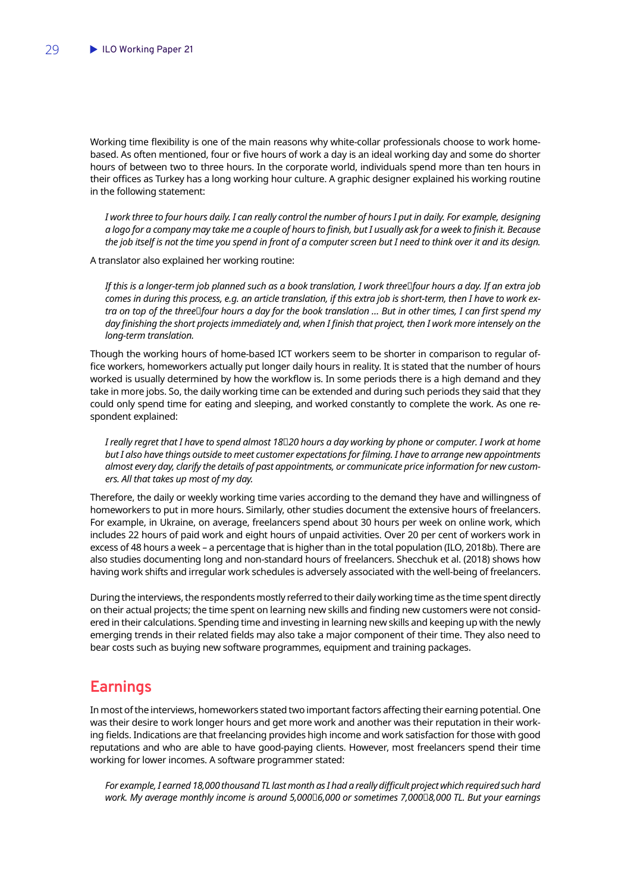<span id="page-30-0"></span>Working time flexibility is one of the main reasons why white-collar professionals choose to work homebased. As often mentioned, four or five hours of work a day is an ideal working day and some do shorter hours of between two to three hours. In the corporate world, individuals spend more than ten hours in their offices as Turkey has a long working hour culture. A graphic designer explained his working routine in the following statement:

*I work three to four hours daily. I can really control the number of hours I put in daily. For example, designing a logo for a company may take me a couple of hours to finish, but I usually ask for a week to finish it. Because the job itself is not the time you spend in front of a computer screen but I need to think over it and its design.* 

A translator also explained her working routine:

*If this is a longer-term job planned such as a book translation, I work three−four hours a day. If an extra job comes in during this process, e.g. an article translation, if this extra job is short-term, then I have to work extra on top of the three* $□$ *four hours a day for the book translation ... But in other times, I can first spend my* day finishing the short projects immediately and, when I finish that project, then I work more intensely on the *long-term translation.*

Though the working hours of home-based ICT workers seem to be shorter in comparison to regular office workers, homeworkers actually put longer daily hours in reality. It is stated that the number of hours worked is usually determined by how the workflow is. In some periods there is a high demand and they take in more jobs. So, the daily working time can be extended and during such periods they said that they could only spend time for eating and sleeping, and worked constantly to complete the work. As one respondent explained:

*I really regret that I have to spend almost 18−20 hours a day working by phone or computer. I work at home but I also have things outside to meet customer expectations for filming. I have to arrange new appointments almost every day, clarify the details of past appointments, or communicate price information for new customers. All that takes up most of my day.*

Therefore, the daily or weekly working time varies according to the demand they have and willingness of homeworkers to put in more hours. Similarly, other studies document the extensive hours of freelancers. For example, in Ukraine, on average, freelancers spend about 30 hours per week on online work, which includes 22 hours of paid work and eight hours of unpaid activities. Over 20 per cent of workers work in excess of 48 hours a week – a percentage that is higher than in the total population (ILO, 2018b). There are also studies documenting long and non-standard hours of freelancers. Shecchuk et al. (2018) shows how having work shifts and irregular work schedules is adversely associated with the well-being of freelancers.

During the interviews, the respondents mostly referred to their daily working time as the time spent directly on their actual projects; the time spent on learning new skills and finding new customers were not considered in their calculations. Spending time and investing in learning new skills and keeping up with the newly emerging trends in their related fields may also take a major component of their time. They also need to bear costs such as buying new software programmes, equipment and training packages.

### **Earnings**

In most of the interviews, homeworkers stated two important factors affecting their earning potential. One was their desire to work longer hours and get more work and another was their reputation in their working fields. Indications are that freelancing provides high income and work satisfaction for those with good reputations and who are able to have good-paying clients. However, most freelancers spend their time working for lower incomes. A software programmer stated:

*For example, I earned 18,000 thousand TL last month as I had a really difficult project which required such hard work. My average monthly income is around 5,000*−*6,000 or sometimes 7,000*−*8,000 TL. But your earnings*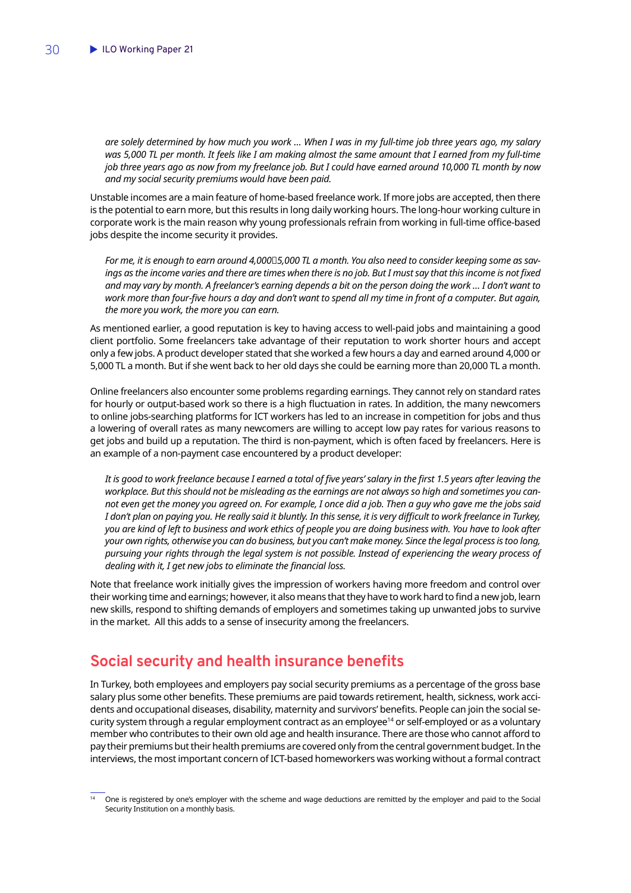<span id="page-31-0"></span>*are solely determined by how much you work … When I was in my full-time job three years ago, my salary was 5,000 TL per month. It feels like I am making almost the same amount that I earned from my full-time job three years ago as now from my freelance job. But I could have earned around 10,000 TL month by now and my social security premiums would have been paid.*

Unstable incomes are a main feature of home-based freelance work. If more jobs are accepted, then there is the potential to earn more, but this results in long daily working hours. The long-hour working culture in corporate work is the main reason why young professionals refrain from working in full-time office-based jobs despite the income security it provides.

*For me, it is enough to earn around 4,000*□5,000 TL a month. You also need to consider keeping some as savings as the income varies and there are times when there is no job. But I must say that this income is not fixed *and may vary by month. A freelancer's earning depends a bit on the person doing the work … I don't want to work more than four-five hours a day and don't want to spend all my time in front of a computer. But again, the more you work, the more you can earn.*

As mentioned earlier, a good reputation is key to having access to well-paid jobs and maintaining a good client portfolio. Some freelancers take advantage of their reputation to work shorter hours and accept only a few jobs. A product developer stated that she worked a few hours a day and earned around 4,000 or 5,000 TL a month. But if she went back to her old days she could be earning more than 20,000 TL a month.

Online freelancers also encounter some problems regarding earnings. They cannot rely on standard rates for hourly or output-based work so there is a high fluctuation in rates. In addition, the many newcomers to online jobs-searching platforms for ICT workers has led to an increase in competition for jobs and thus a lowering of overall rates as many newcomers are willing to accept low pay rates for various reasons to get jobs and build up a reputation. The third is non-payment, which is often faced by freelancers. Here is an example of a non-payment case encountered by a product developer:

*It is good to work freelance because I earned a total of five years' salary in the first 1.5 years after leaving the workplace. But this should not be misleading as the earnings are not always so high and sometimes you cannot even get the money you agreed on. For example, I once did a job. Then a guy who gave me the jobs said I don't plan on paying you. He really said it bluntly. In this sense, it is very difficult to work freelance in Turkey, you are kind of left to business and work ethics of people you are doing business with. You have to look after your own rights, otherwise you can do business, but you can't make money. Since the legal process is too long, pursuing your rights through the legal system is not possible. Instead of experiencing the weary process of dealing with it, I get new jobs to eliminate the financial loss.* 

Note that freelance work initially gives the impression of workers having more freedom and control over their working time and earnings; however, it also means that they have to work hard to find a new job, learn new skills, respond to shifting demands of employers and sometimes taking up unwanted jobs to survive in the market. All this adds to a sense of insecurity among the freelancers.

## **Social security and health insurance benefits**

In Turkey, both employees and employers pay social security premiums as a percentage of the gross base salary plus some other benefits. These premiums are paid towards retirement, health, sickness, work accidents and occupational diseases, disability, maternity and survivors' benefits. People can join the social security system through a regular employment contract as an employee<sup>14</sup> or self-employed or as a voluntary member who contributes to their own old age and health insurance. There are those who cannot afford to pay their premiums but their health premiums are covered only from the central government budget. In the interviews, the most important concern of ICT-based homeworkers was working without a formal contract

<sup>14</sup> One is registered by one's employer with the scheme and wage deductions are remitted by the employer and paid to the Social Security Institution on a monthly basis.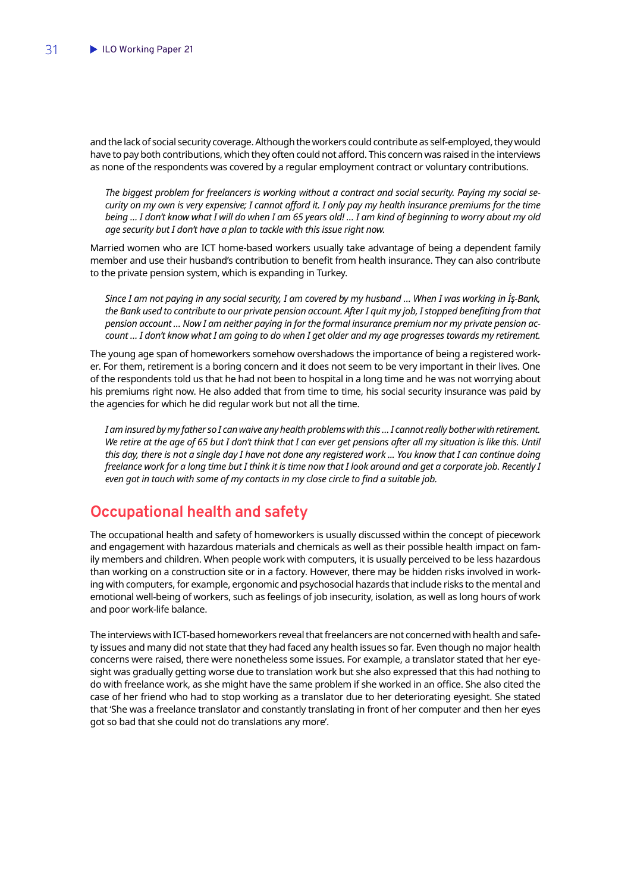<span id="page-32-0"></span>and the lack of social security coverage. Although the workers could contribute as self-employed, they would have to pay both contributions, which they often could not afford. This concern was raised in the interviews as none of the respondents was covered by a regular employment contract or voluntary contributions.

*The biggest problem for freelancers is working without a contract and social security. Paying my social security on my own is very expensive; I cannot afford it. I only pay my health insurance premiums for the time being … I don't know what I will do when I am 65 years old! … I am kind of beginning to worry about my old age security but I don't have a plan to tackle with this issue right now.* 

Married women who are ICT home-based workers usually take advantage of being a dependent family member and use their husband's contribution to benefit from health insurance. They can also contribute to the private pension system, which is expanding in Turkey.

*Since I am not paying in any social security, I am covered by my husband … When I was working in İş-Bank,*  the Bank used to contribute to our private pension account. After I quit my job, I stopped benefiting from that *pension account … Now I am neither paying in for the formal insurance premium nor my private pension account … I don't know what I am going to do when I get older and my age progresses towards my retirement.* 

The young age span of homeworkers somehow overshadows the importance of being a registered worker. For them, retirement is a boring concern and it does not seem to be very important in their lives. One of the respondents told us that he had not been to hospital in a long time and he was not worrying about his premiums right now. He also added that from time to time, his social security insurance was paid by the agencies for which he did regular work but not all the time.

*I am insured by my father so I can waive any health problems with this … I cannot really bother with retirement.*  We retire at the age of 65 but I don't think that I can ever get pensions after all my situation is like this. Until *this day, there is not a single day I have not done any registered work ... You know that I can continue doing freelance work for a long time but I think it is time now that I look around and get a corporate job. Recently I even got in touch with some of my contacts in my close circle to find a suitable job.* 

## **Occupational health and safety**

The occupational health and safety of homeworkers is usually discussed within the concept of piecework and engagement with hazardous materials and chemicals as well as their possible health impact on family members and children. When people work with computers, it is usually perceived to be less hazardous than working on a construction site or in a factory. However, there may be hidden risks involved in working with computers, for example, ergonomic and psychosocial hazards that include risks to the mental and emotional well-being of workers, such as feelings of job insecurity, isolation, as well as long hours of work and poor work-life balance.

The interviews with ICT-based homeworkers reveal that freelancers are not concerned with health and safety issues and many did not state that they had faced any health issues so far. Even though no major health concerns were raised, there were nonetheless some issues. For example, a translator stated that her eyesight was gradually getting worse due to translation work but she also expressed that this had nothing to do with freelance work, as she might have the same problem if she worked in an office. She also cited the case of her friend who had to stop working as a translator due to her deteriorating eyesight. She stated that 'She was a freelance translator and constantly translating in front of her computer and then her eyes got so bad that she could not do translations any more'.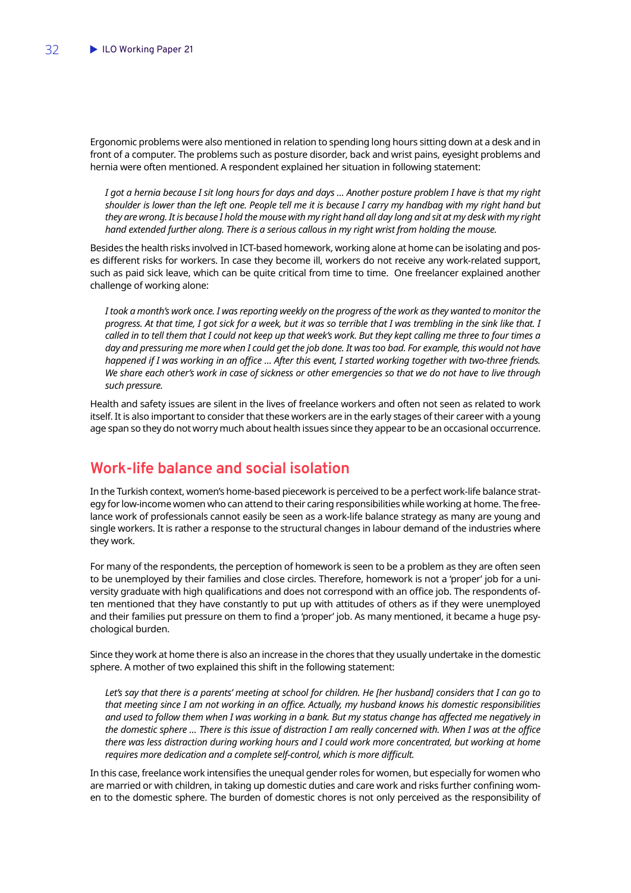<span id="page-33-0"></span>Ergonomic problems were also mentioned in relation to spending long hours sitting down at a desk and in front of a computer. The problems such as posture disorder, back and wrist pains, eyesight problems and hernia were often mentioned. A respondent explained her situation in following statement:

*I got a hernia because I sit long hours for days and days … Another posture problem I have is that my right shoulder is lower than the left one. People tell me it is because I carry my handbag with my right hand but they are wrong. It is because I hold the mouse with my right hand all day long and sit at my desk with my right hand extended further along. There is a serious callous in my right wrist from holding the mouse.*

Besides the health risks involved in ICT-based homework, working alone at home can be isolating and poses different risks for workers. In case they become ill, workers do not receive any work-related support, such as paid sick leave, which can be quite critical from time to time. One freelancer explained another challenge of working alone:

*I took a month's work once. I was reporting weekly on the progress of the work as they wanted to monitor the progress. At that time, I got sick for a week, but it was so terrible that I was trembling in the sink like that. I called in to tell them that I could not keep up that week's work. But they kept calling me three to four times a day and pressuring me more when I could get the job done. It was too bad. For example, this would not have happened if I was working in an office … After this event, I started working together with two-three friends. We share each other's work in case of sickness or other emergencies so that we do not have to live through such pressure.* 

Health and safety issues are silent in the lives of freelance workers and often not seen as related to work itself. It is also important to consider that these workers are in the early stages of their career with a young age span so they do not worry much about health issues since they appear to be an occasional occurrence.

## **Work-life balance and social isolation**

In the Turkish context, women's home-based piecework is perceived to be a perfect work-life balance strategy for low-income women who can attend to their caring responsibilities while working at home. The freelance work of professionals cannot easily be seen as a work-life balance strategy as many are young and single workers. It is rather a response to the structural changes in labour demand of the industries where they work.

For many of the respondents, the perception of homework is seen to be a problem as they are often seen to be unemployed by their families and close circles. Therefore, homework is not a 'proper' job for a university graduate with high qualifications and does not correspond with an office job. The respondents often mentioned that they have constantly to put up with attitudes of others as if they were unemployed and their families put pressure on them to find a 'proper' job. As many mentioned, it became a huge psychological burden.

Since they work at home there is also an increase in the chores that they usually undertake in the domestic sphere. A mother of two explained this shift in the following statement:

Let's say that there is a parents' meeting at school for children. He [her husband] considers that I can go to *that meeting since I am not working in an office. Actually, my husband knows his domestic responsibilities and used to follow them when I was working in a bank. But my status change has affected me negatively in the domestic sphere … There is this issue of distraction I am really concerned with. When I was at the office there was less distraction during working hours and I could work more concentrated, but working at home requires more dedication and a complete self-control, which is more difficult.*

In this case, freelance work intensifies the unequal gender roles for women, but especially for women who are married or with children, in taking up domestic duties and care work and risks further confining women to the domestic sphere. The burden of domestic chores is not only perceived as the responsibility of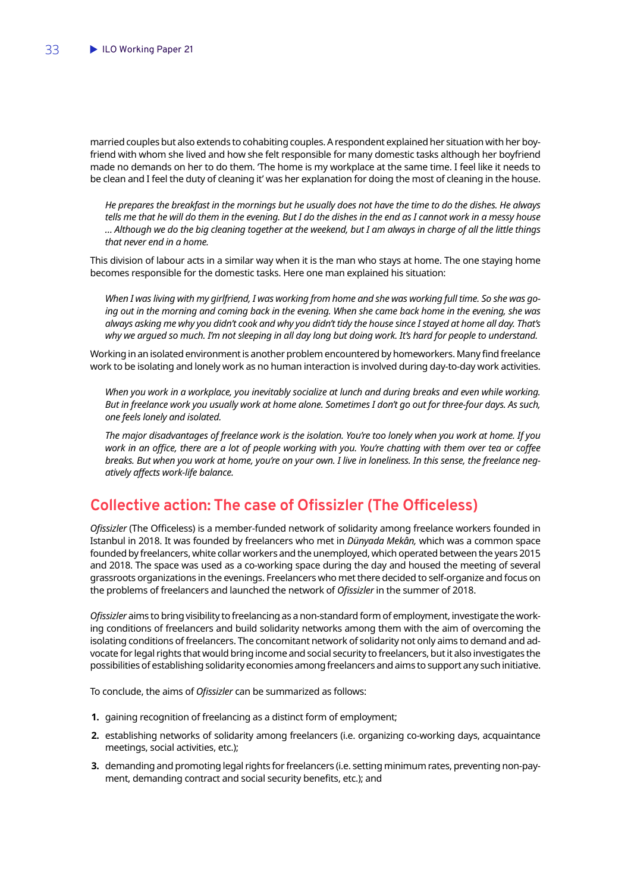<span id="page-34-0"></span>married couples but also extends to cohabiting couples. A respondent explained her situation with her boyfriend with whom she lived and how she felt responsible for many domestic tasks although her boyfriend made no demands on her to do them. 'The home is my workplace at the same time. I feel like it needs to be clean and I feel the duty of cleaning it' was her explanation for doing the most of cleaning in the house.

*He prepares the breakfast in the mornings but he usually does not have the time to do the dishes. He always tells me that he will do them in the evening. But I do the dishes in the end as I cannot work in a messy house … Although we do the big cleaning together at the weekend, but I am always in charge of all the little things that never end in a home.* 

This division of labour acts in a similar way when it is the man who stays at home. The one staying home becomes responsible for the domestic tasks. Here one man explained his situation:

*When I was living with my girlfriend, I was working from home and she was working full time. So she was going out in the morning and coming back in the evening. When she came back home in the evening, she was always asking me why you didn't cook and why you didn't tidy the house since I stayed at home all day. That's why we argued so much. I'm not sleeping in all day long but doing work. It's hard for people to understand.*

Working in an isolated environment is another problem encountered by homeworkers. Many find freelance work to be isolating and lonely work as no human interaction is involved during day-to-day work activities.

*When you work in a workplace, you inevitably socialize at lunch and during breaks and even while working. But in freelance work you usually work at home alone. Sometimes I don't go out for three-four days. As such, one feels lonely and isolated.* 

*The major disadvantages of freelance work is the isolation. You're too lonely when you work at home. If you work in an office, there are a lot of people working with you. You're chatting with them over tea or coffee breaks. But when you work at home, you're on your own. I live in loneliness. In this sense, the freelance negatively affects work-life balance.*

## **Collective action: The case of Ofissizler (The Officeless)**

*Ofissizler* (The Officeless) is a member-funded network of solidarity among freelance workers founded in Istanbul in 2018. It was founded by freelancers who met in *Dünyada Mekân,* which was a common space founded by freelancers, white collar workers and the unemployed, which operated between the years 2015 and 2018. The space was used as a co-working space during the day and housed the meeting of several grassroots organizations in the evenings. Freelancers who met there decided to self-organize and focus on the problems of freelancers and launched the network of *Ofissizler* in the summer of 2018.

*Ofissizler* aims to bring visibility to freelancing as a non-standard form of employment, investigate the working conditions of freelancers and build solidarity networks among them with the aim of overcoming the isolating conditions of freelancers. The concomitant network of solidarity not only aims to demand and advocate for legal rights that would bring income and social security to freelancers, but it also investigates the possibilities of establishing solidarity economies among freelancers and aims to support any such initiative.

To conclude, the aims of *Ofissizler* can be summarized as follows:

- **1.** gaining recognition of freelancing as a distinct form of employment;
- **2.** establishing networks of solidarity among freelancers (i.e. organizing co-working days, acquaintance meetings, social activities, etc.);
- **3.** demanding and promoting legal rights for freelancers (i.e. setting minimum rates, preventing non-payment, demanding contract and social security benefits, etc.); and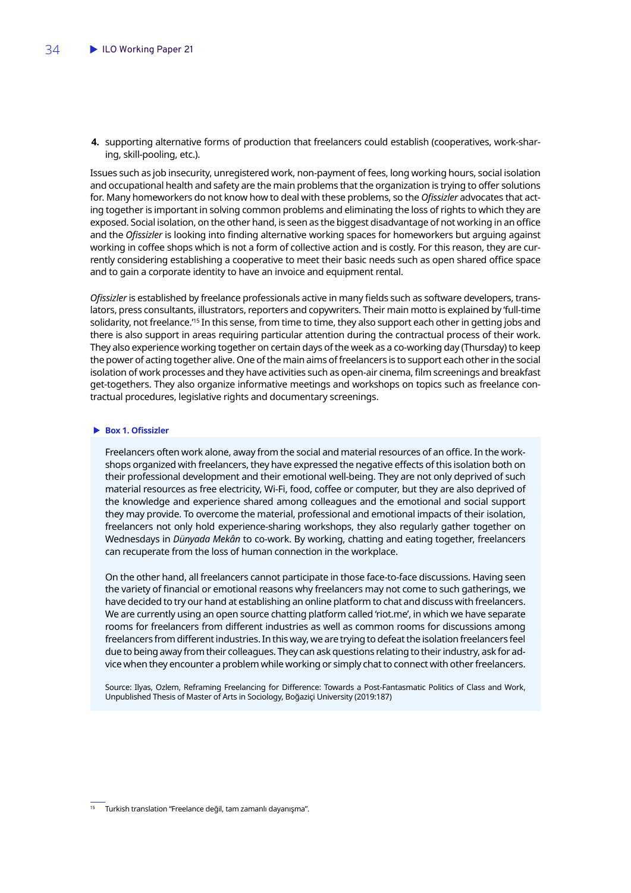**4.** supporting alternative forms of production that freelancers could establish (cooperatives, work-sharing, skill-pooling, etc.).

Issues such as job insecurity, unregistered work, non-payment of fees, long working hours, social isolation and occupational health and safety are the main problems that the organization is trying to offer solutions for. Many homeworkers do not know how to deal with these problems, so the *Ofissizler* advocates that acting together is important in solving common problems and eliminating the loss of rights to which they are exposed. Social isolation, on the other hand, is seen as the biggest disadvantage of not working in an office and the *Ofissizler* is looking into finding alternative working spaces for homeworkers but arguing against working in coffee shops which is not a form of collective action and is costly. For this reason, they are currently considering establishing a cooperative to meet their basic needs such as open shared office space and to gain a corporate identity to have an invoice and equipment rental.

*Ofissizler* is established by freelance professionals active in many fields such as software developers, translators, press consultants, illustrators, reporters and copywriters. Their main motto is explained by 'full-time solidarity, not freelance.'<sup>15</sup> In this sense, from time to time, they also support each other in getting jobs and there is also support in areas requiring particular attention during the contractual process of their work. They also experience working together on certain days of the week as a co-working day (Thursday) to keep the power of acting together alive. One of the main aims of freelancers is to support each other in the social isolation of work processes and they have activities such as open-air cinema, film screenings and breakfast get-togethers. They also organize informative meetings and workshops on topics such as freelance contractual procedures, legislative rights and documentary screenings.

#### **Box 1. Ofissizler**

Freelancers often work alone, away from the social and material resources of an office. In the workshops organized with freelancers, they have expressed the negative effects of this isolation both on their professional development and their emotional well-being. They are not only deprived of such material resources as free electricity, Wi-Fi, food, coffee or computer, but they are also deprived of the knowledge and experience shared among colleagues and the emotional and social support they may provide. To overcome the material, professional and emotional impacts of their isolation, freelancers not only hold experience-sharing workshops, they also regularly gather together on Wednesdays in *Dünyada Mekân* to co-work. By working, chatting and eating together, freelancers can recuperate from the loss of human connection in the workplace.

On the other hand, all freelancers cannot participate in those face-to-face discussions. Having seen the variety of financial or emotional reasons why freelancers may not come to such gatherings, we have decided to try our hand at establishing an online platform to chat and discuss with freelancers. We are currently using an open source chatting platform called 'riot.me', in which we have separate rooms for freelancers from different industries as well as common rooms for discussions among freelancers from different industries. In this way, we are trying to defeat the isolation freelancers feel due to being away from their colleagues. They can ask questions relating to their industry, ask for advice when they encounter a problem while working or simply chat to connect with other freelancers.

Source: Ilyas, Ozlem, Reframing Freelancing for Difference: Towards a Post-Fantasmatic Politics of Class and Work, Unpublished Thesis of Master of Arts in Sociology, Boğaziçi University (2019:187)

<sup>15</sup> Turkish translation "Freelance değil, tam zamanlı dayanışma".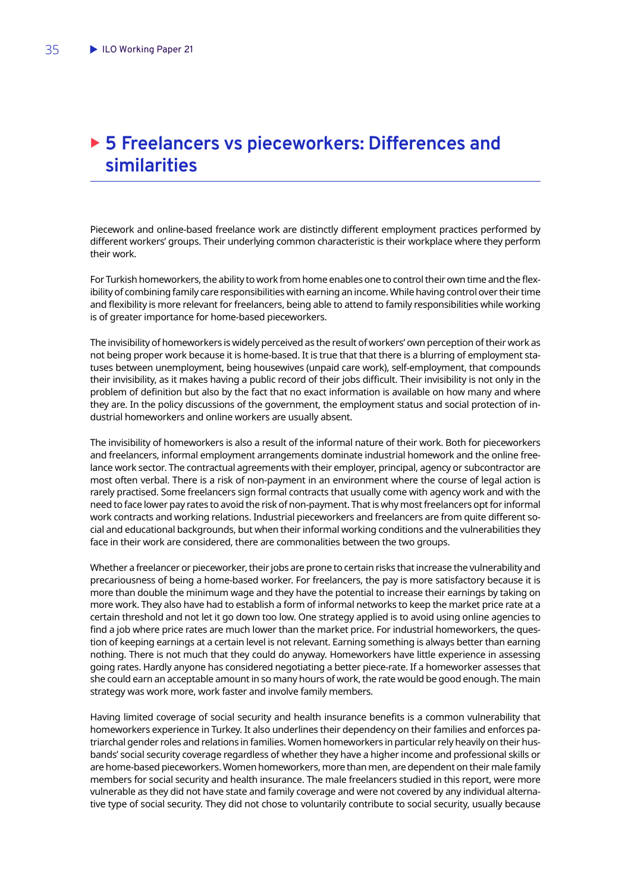## <span id="page-36-0"></span>▶ 5 Freelancers vs pieceworkers: Differences and **similarities**

Piecework and online-based freelance work are distinctly different employment practices performed by different workers' groups. Their underlying common characteristic is their workplace where they perform their work.

For Turkish homeworkers, the ability to work from home enables one to control their own time and the flexibility of combining family care responsibilities with earning an income. While having control over their time and flexibility is more relevant for freelancers, being able to attend to family responsibilities while working is of greater importance for home-based pieceworkers.

The invisibility of homeworkers is widely perceived as the result of workers' own perception of their work as not being proper work because it is home-based. It is true that that there is a blurring of employment statuses between unemployment, being housewives (unpaid care work), self-employment, that compounds their invisibility, as it makes having a public record of their jobs difficult. Their invisibility is not only in the problem of definition but also by the fact that no exact information is available on how many and where they are. In the policy discussions of the government, the employment status and social protection of industrial homeworkers and online workers are usually absent.

The invisibility of homeworkers is also a result of the informal nature of their work. Both for pieceworkers and freelancers, informal employment arrangements dominate industrial homework and the online freelance work sector. The contractual agreements with their employer, principal, agency or subcontractor are most often verbal. There is a risk of non-payment in an environment where the course of legal action is rarely practised. Some freelancers sign formal contracts that usually come with agency work and with the need to face lower pay rates to avoid the risk of non-payment. That is why most freelancers opt for informal work contracts and working relations. Industrial pieceworkers and freelancers are from quite different social and educational backgrounds, but when their informal working conditions and the vulnerabilities they face in their work are considered, there are commonalities between the two groups.

Whether a freelancer or pieceworker, their jobs are prone to certain risks that increase the vulnerability and precariousness of being a home-based worker. For freelancers, the pay is more satisfactory because it is more than double the minimum wage and they have the potential to increase their earnings by taking on more work. They also have had to establish a form of informal networks to keep the market price rate at a certain threshold and not let it go down too low. One strategy applied is to avoid using online agencies to find a job where price rates are much lower than the market price. For industrial homeworkers, the question of keeping earnings at a certain level is not relevant. Earning something is always better than earning nothing. There is not much that they could do anyway. Homeworkers have little experience in assessing going rates. Hardly anyone has considered negotiating a better piece-rate. If a homeworker assesses that she could earn an acceptable amount in so many hours of work, the rate would be good enough. The main strategy was work more, work faster and involve family members.

Having limited coverage of social security and health insurance benefits is a common vulnerability that homeworkers experience in Turkey. It also underlines their dependency on their families and enforces patriarchal gender roles and relations in families. Women homeworkers in particular rely heavily on their husbands' social security coverage regardless of whether they have a higher income and professional skills or are home-based pieceworkers. Women homeworkers, more than men, are dependent on their male family members for social security and health insurance. The male freelancers studied in this report, were more vulnerable as they did not have state and family coverage and were not covered by any individual alternative type of social security. They did not chose to voluntarily contribute to social security, usually because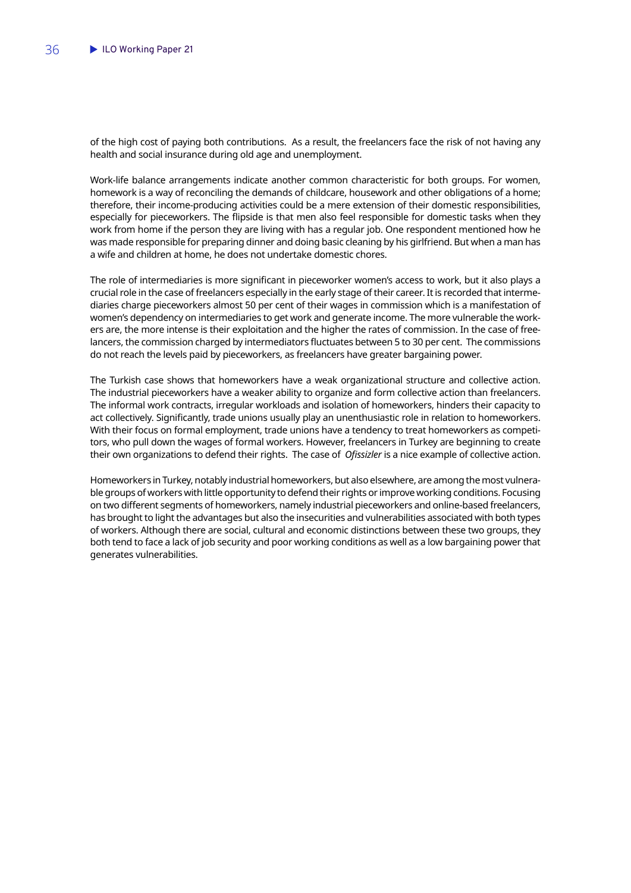of the high cost of paying both contributions. As a result, the freelancers face the risk of not having any health and social insurance during old age and unemployment.

Work-life balance arrangements indicate another common characteristic for both groups. For women, homework is a way of reconciling the demands of childcare, housework and other obligations of a home; therefore, their income-producing activities could be a mere extension of their domestic responsibilities, especially for pieceworkers. The flipside is that men also feel responsible for domestic tasks when they work from home if the person they are living with has a regular job. One respondent mentioned how he was made responsible for preparing dinner and doing basic cleaning by his girlfriend. But when a man has a wife and children at home, he does not undertake domestic chores.

The role of intermediaries is more significant in pieceworker women's access to work, but it also plays a crucial role in the case of freelancers especially in the early stage of their career. It is recorded that intermediaries charge pieceworkers almost 50 per cent of their wages in commission which is a manifestation of women's dependency on intermediaries to get work and generate income. The more vulnerable the workers are, the more intense is their exploitation and the higher the rates of commission. In the case of freelancers, the commission charged by intermediators fluctuates between 5 to 30 per cent. The commissions do not reach the levels paid by pieceworkers, as freelancers have greater bargaining power.

The Turkish case shows that homeworkers have a weak organizational structure and collective action. The industrial pieceworkers have a weaker ability to organize and form collective action than freelancers. The informal work contracts, irregular workloads and isolation of homeworkers, hinders their capacity to act collectively. Significantly, trade unions usually play an unenthusiastic role in relation to homeworkers. With their focus on formal employment, trade unions have a tendency to treat homeworkers as competitors, who pull down the wages of formal workers. However, freelancers in Turkey are beginning to create their own organizations to defend their rights. The case of *Ofissizler* is a nice example of collective action.

Homeworkers in Turkey, notably industrial homeworkers, but also elsewhere, are among the most vulnerable groups of workers with little opportunity to defend their rights or improve working conditions. Focusing on two different segments of homeworkers, namely industrial pieceworkers and online-based freelancers, has brought to light the advantages but also the insecurities and vulnerabilities associated with both types of workers. Although there are social, cultural and economic distinctions between these two groups, they both tend to face a lack of job security and poor working conditions as well as a low bargaining power that generates vulnerabilities.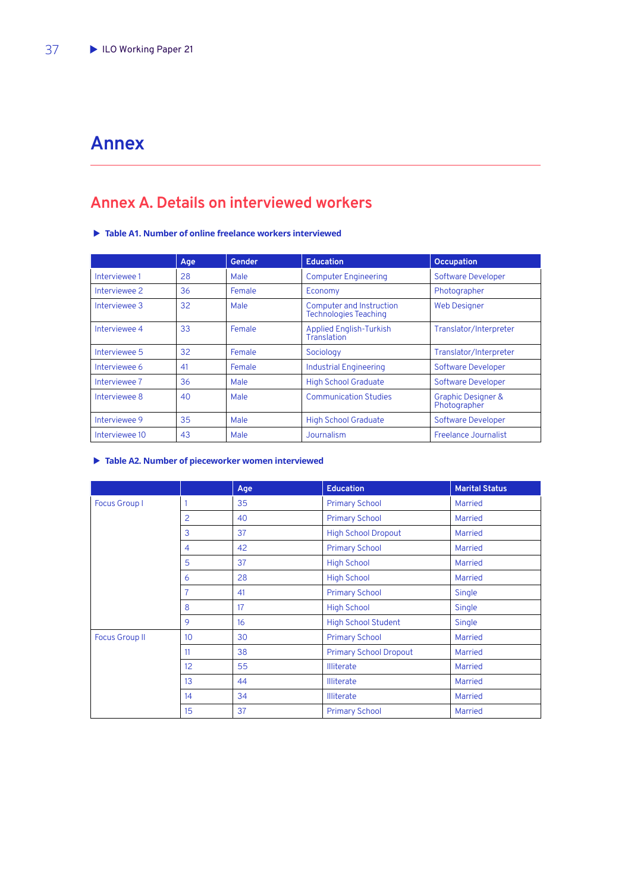## <span id="page-38-0"></span>**Annex**

## **Annex A. Details on interviewed workers**

X **Table A1. Number of online freelance workers interviewed**

|                | Age | <b>Gender</b> | <b>Education</b>                                         | <b>Occupation</b>                             |
|----------------|-----|---------------|----------------------------------------------------------|-----------------------------------------------|
| Interviewee 1  | 28  | Male          | <b>Computer Engineering</b>                              | <b>Software Developer</b>                     |
| Interviewee 2  | 36  | Female        | Economy                                                  | Photographer                                  |
| Interviewee 3  | 32  | Male          | Computer and Instruction<br><b>Technologies Teaching</b> | <b>Web Designer</b>                           |
| Interviewee 4  | 33  | Female        | <b>Applied English-Turkish</b><br>Translation            | Translator/Interpreter                        |
| Interviewee 5  | 32  | Female        | Sociology                                                | Translator/Interpreter                        |
| Interviewee 6  | 41  | Female        | <b>Industrial Engineering</b>                            | <b>Software Developer</b>                     |
| Interviewee 7  | 36  | Male          | <b>High School Graduate</b>                              | <b>Software Developer</b>                     |
| Interviewee 8  | 40  | Male          | <b>Communication Studies</b>                             | <b>Graphic Designer &amp;</b><br>Photographer |
| Interviewee 9  | 35  | Male          | <b>High School Graduate</b>                              | <b>Software Developer</b>                     |
| Interviewee 10 | 43  | Male          | Journalism                                               | Freelance Journalist                          |

#### X **Table A2. Number of pieceworker women interviewed**

|                       |                 | Age | <b>Education</b>              | <b>Marital Status</b> |
|-----------------------|-----------------|-----|-------------------------------|-----------------------|
| <b>Focus Group I</b>  |                 | 35  | <b>Primary School</b>         | <b>Married</b>        |
|                       | 2               | 40  | <b>Primary School</b>         | <b>Married</b>        |
|                       | 3               | 37  | <b>High School Dropout</b>    | <b>Married</b>        |
|                       | $\overline{4}$  | 42  | <b>Primary School</b>         | Married               |
|                       | 5               | 37  | <b>High School</b>            | <b>Married</b>        |
|                       | 6               | 28  | <b>High School</b>            | <b>Married</b>        |
|                       | 7               | 41  | <b>Primary School</b>         | Single                |
|                       | 8               | 17  | <b>High School</b>            | Single                |
|                       | 9               | 16  | <b>High School Student</b>    | Single                |
| <b>Focus Group II</b> | 10 <sup>1</sup> | 30  | <b>Primary School</b>         | <b>Married</b>        |
|                       | 11              | 38  | <b>Primary School Dropout</b> | <b>Married</b>        |
|                       | 12 <sup>2</sup> | 55  | <b>Illiterate</b>             | <b>Married</b>        |
|                       | 13              | 44  | <b>Illiterate</b>             | <b>Married</b>        |
|                       | 14              | 34  | <b>Illiterate</b>             | <b>Married</b>        |
|                       | 15              | 37  | <b>Primary School</b>         | <b>Married</b>        |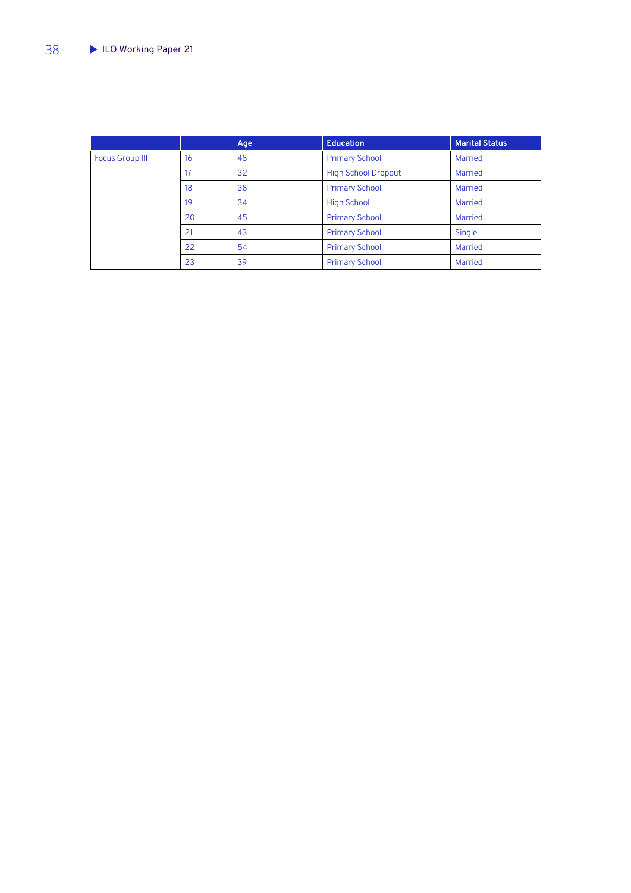|                        |    | Age | <b>Education</b>           | <b>Marital Status</b> |
|------------------------|----|-----|----------------------------|-----------------------|
| <b>Focus Group III</b> | 16 | 48  | <b>Primary School</b>      | Married               |
|                        | 17 | 32  | <b>High School Dropout</b> | Married               |
|                        | 18 | 38  | <b>Primary School</b>      | Married               |
|                        | 19 | 34  | <b>High School</b>         | Married               |
|                        | 20 | 45  | <b>Primary School</b>      | Married               |
|                        | 21 | 43  | <b>Primary School</b>      | Single                |
|                        | 22 | 54  | <b>Primary School</b>      | Married               |
|                        | 23 | 39  | <b>Primary School</b>      | Married               |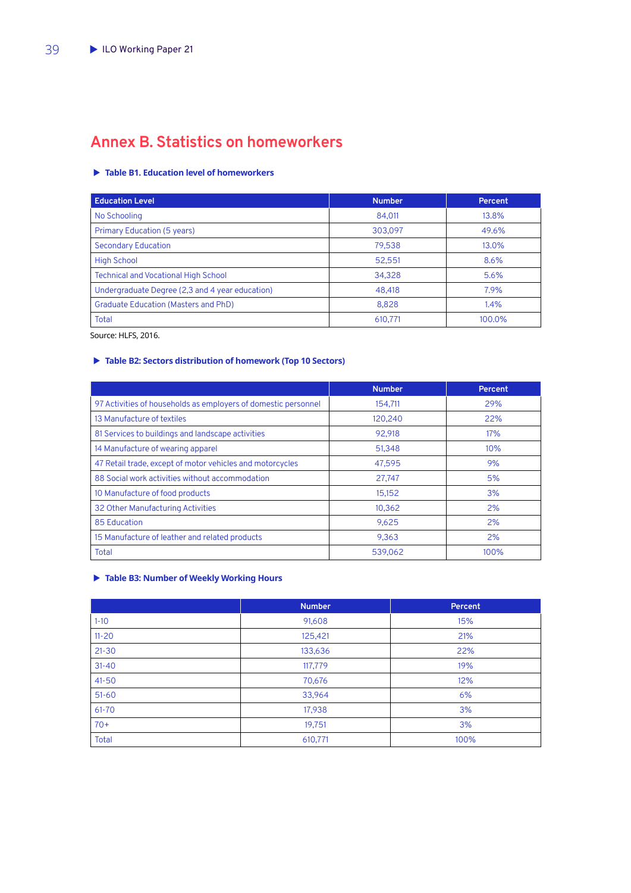## <span id="page-40-0"></span>**Annex B. Statistics on homeworkers**

#### X **Table B1. Education level of homeworkers**

| <b>Education Level</b>                          | <b>Number</b> | <b>Percent</b> |
|-------------------------------------------------|---------------|----------------|
| No Schooling                                    | 84,011        | 13.8%          |
| <b>Primary Education (5 years)</b>              | 303,097       | 49.6%          |
| <b>Secondary Education</b>                      | 79,538        | 13.0%          |
| <b>High School</b>                              | 52,551        | 8.6%           |
| <b>Technical and Vocational High School</b>     | 34,328        | 5.6%           |
| Undergraduate Degree (2,3 and 4 year education) | 48.418        | 7.9%           |
| <b>Graduate Education (Masters and PhD)</b>     | 8.828         | 1.4%           |
| <b>Total</b>                                    | 610,771       | 100.0%         |

Source: HLFS, 2016.

#### X **Table B2: Sectors distribution of homework (Top 10 Sectors)**

|                                                                | <b>Number</b> | Percent |
|----------------------------------------------------------------|---------------|---------|
| 97 Activities of households as employers of domestic personnel | 154,711       | 29%     |
| 13 Manufacture of textiles                                     | 120,240       | 22%     |
| 81 Services to buildings and landscape activities              | 92,918        | 17%     |
| 14 Manufacture of wearing apparel                              | 51,348        | 10%     |
| 47 Retail trade, except of motor vehicles and motorcycles      | 47.595        | 9%      |
| 88 Social work activities without accommodation                | 27,747        | 5%      |
| 10 Manufacture of food products                                | 15,152        | 3%      |
| 32 Other Manufacturing Activities                              | 10.362        | 2%      |
| 85 Education                                                   | 9,625         | 2%      |
| 15 Manufacture of leather and related products                 | 9,363         | 2%      |
| <b>Total</b>                                                   | 539,062       | 100%    |

#### X **Table B3: Number of Weekly Working Hours**

|              | <b>Number</b> | Percent |
|--------------|---------------|---------|
| $1 - 10$     | 91,608        | 15%     |
| $11 - 20$    | 125,421       | 21%     |
| $21 - 30$    | 133,636       | 22%     |
| $31 - 40$    | 117,779       | 19%     |
| $41 - 50$    | 70,676        | 12%     |
| $51 - 60$    | 33,964        | 6%      |
| 61-70        | 17,938        | 3%      |
| $70+$        | 19,751        | 3%      |
| <b>Total</b> | 610,771       | 100%    |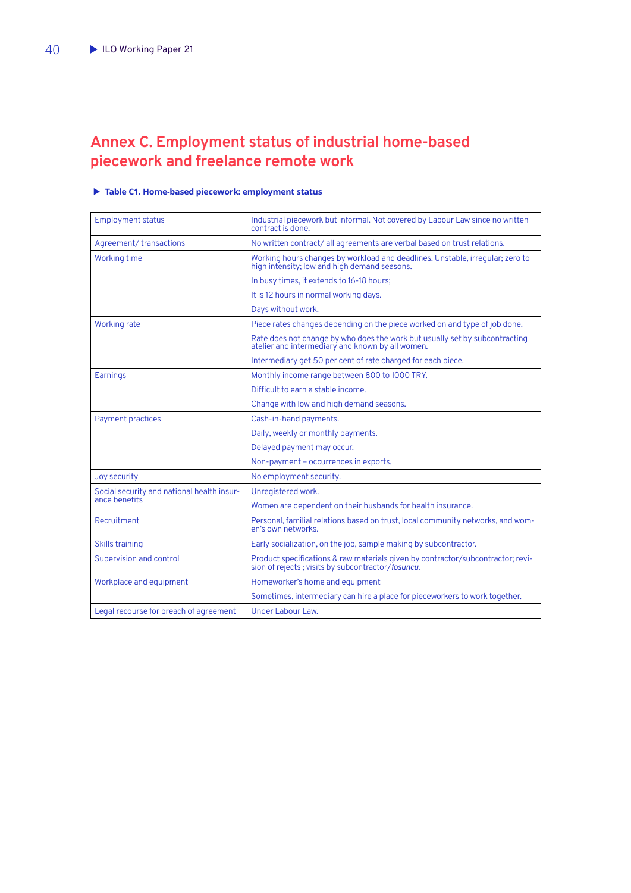## <span id="page-41-0"></span>**Annex C. Employment status of industrial home-based piecework and freelance remote work**

#### X **Table C1. Home-based piecework: employment status**

| <b>Employment status</b>                                    | Industrial piecework but informal. Not covered by Labour Law since no written<br>contract is done.                              |
|-------------------------------------------------------------|---------------------------------------------------------------------------------------------------------------------------------|
| Agreement/transactions                                      | No written contract/all agreements are verbal based on trust relations.                                                         |
| <b>Working time</b>                                         | Working hours changes by workload and deadlines. Unstable, irregular; zero to<br>high intensity; low and high demand seasons.   |
|                                                             | In busy times, it extends to 16-18 hours;                                                                                       |
|                                                             | It is 12 hours in normal working days.                                                                                          |
|                                                             | Days without work.                                                                                                              |
| <b>Working rate</b>                                         | Piece rates changes depending on the piece worked on and type of job done.                                                      |
|                                                             | Rate does not change by who does the work but usually set by subcontracting<br>atelier and intermediary and known by all women. |
|                                                             | Intermediary get 50 per cent of rate charged for each piece.                                                                    |
| <b>Earnings</b>                                             | Monthly income range between 800 to 1000 TRY.                                                                                   |
|                                                             | Difficult to earn a stable income.                                                                                              |
|                                                             | Change with low and high demand seasons.                                                                                        |
| <b>Payment practices</b>                                    | Cash-in-hand payments.                                                                                                          |
|                                                             | Daily, weekly or monthly payments.                                                                                              |
|                                                             | Delayed payment may occur.                                                                                                      |
|                                                             | Non-payment - occurrences in exports.                                                                                           |
| Joy security                                                | No employment security.                                                                                                         |
| Social security and national health insur-<br>ance benefits | Unregistered work.                                                                                                              |
|                                                             | Women are dependent on their husbands for health insurance.                                                                     |
| Recruitment                                                 | Personal, familial relations based on trust, local community networks, and wom-<br>en's own networks.                           |
| <b>Skills training</b>                                      | Early socialization, on the job, sample making by subcontractor.                                                                |
| Supervision and control                                     | Product specifications & raw materials given by contractor/subcontractor; revision of rejects; visits by subcontractor/fosuncu. |
| Workplace and equipment                                     | Homeworker's home and equipment                                                                                                 |
|                                                             | Sometimes, intermediary can hire a place for pieceworkers to work together.                                                     |
| Legal recourse for breach of agreement                      | Under Labour Law.                                                                                                               |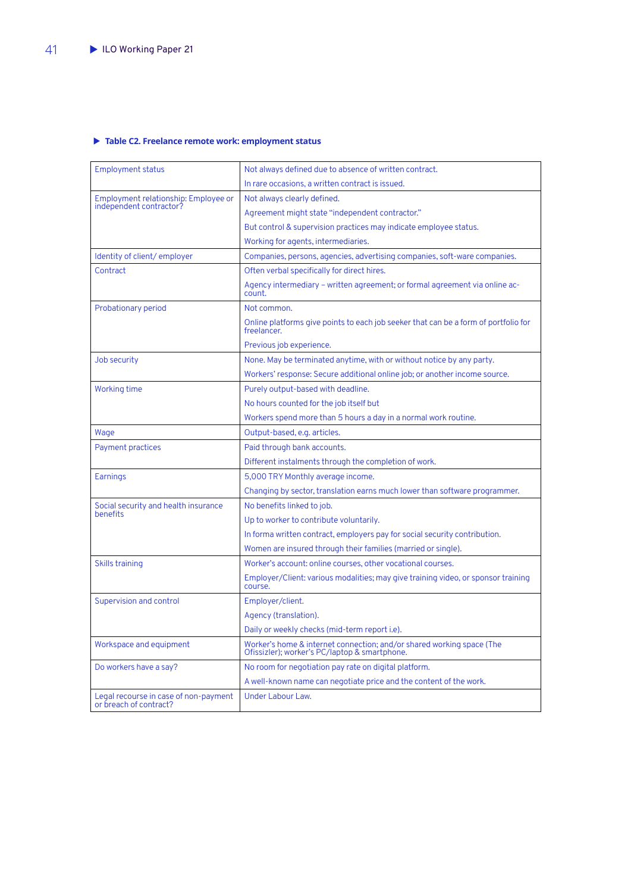#### <span id="page-42-0"></span>X **Table C2. Freelance remote work: employment status**

| <b>Employment status</b>                                        | Not always defined due to absence of written contract.                                                                 |
|-----------------------------------------------------------------|------------------------------------------------------------------------------------------------------------------------|
|                                                                 | In rare occasions, a written contract is issued.                                                                       |
| Employment relationship: Employee or<br>independent contractor? | Not always clearly defined.                                                                                            |
|                                                                 | Agreement might state "independent contractor."                                                                        |
|                                                                 | But control & supervision practices may indicate employee status.                                                      |
|                                                                 | Working for agents, intermediaries.                                                                                    |
| Identity of client/employer                                     | Companies, persons, agencies, advertising companies, soft-ware companies.                                              |
| Contract                                                        | Often verbal specifically for direct hires.                                                                            |
|                                                                 | Agency intermediary – written agreement; or formal agreement via online ac-<br>count.                                  |
| Probationary period                                             | Not common.                                                                                                            |
|                                                                 | Online platforms give points to each job seeker that can be a form of portfolio for<br>freelancer.                     |
|                                                                 | Previous job experience.                                                                                               |
| Job security                                                    | None. May be terminated anytime, with or without notice by any party.                                                  |
|                                                                 | Workers' response: Secure additional online job; or another income source.                                             |
| <b>Working time</b>                                             | Purely output-based with deadline.                                                                                     |
|                                                                 | No hours counted for the job itself but                                                                                |
|                                                                 | Workers spend more than 5 hours a day in a normal work routine.                                                        |
| Wage                                                            | Output-based, e.g. articles.                                                                                           |
| <b>Payment practices</b>                                        | Paid through bank accounts.                                                                                            |
|                                                                 | Different instalments through the completion of work.                                                                  |
| Earnings                                                        | 5,000 TRY Monthly average income.                                                                                      |
|                                                                 | Changing by sector, translation earns much lower than software programmer.                                             |
| Social security and health insurance<br>benefits                | No benefits linked to job.                                                                                             |
|                                                                 | Up to worker to contribute voluntarily.                                                                                |
|                                                                 | In forma written contract, employers pay for social security contribution.                                             |
|                                                                 | Women are insured through their families (married or single).                                                          |
| <b>Skills training</b>                                          | Worker's account: online courses, other vocational courses.                                                            |
|                                                                 | Employer/Client: various modalities; may give training video, or sponsor training<br>course.                           |
| <b>Supervision and control</b>                                  | Employer/client.                                                                                                       |
|                                                                 | Agency (translation).                                                                                                  |
|                                                                 | Daily or weekly checks (mid-term report i.e).                                                                          |
| Workspace and equipment                                         | Worker's home & internet connection; and/or shared working space (The<br>Ofissizler); worker's PC/laptop & smartphone. |
| Do workers have a say?                                          | No room for negotiation pay rate on digital platform.                                                                  |
|                                                                 | A well-known name can negotiate price and the content of the work.                                                     |
| Legal recourse in case of non-payment<br>or breach of contract? | <b>Under Labour Law.</b>                                                                                               |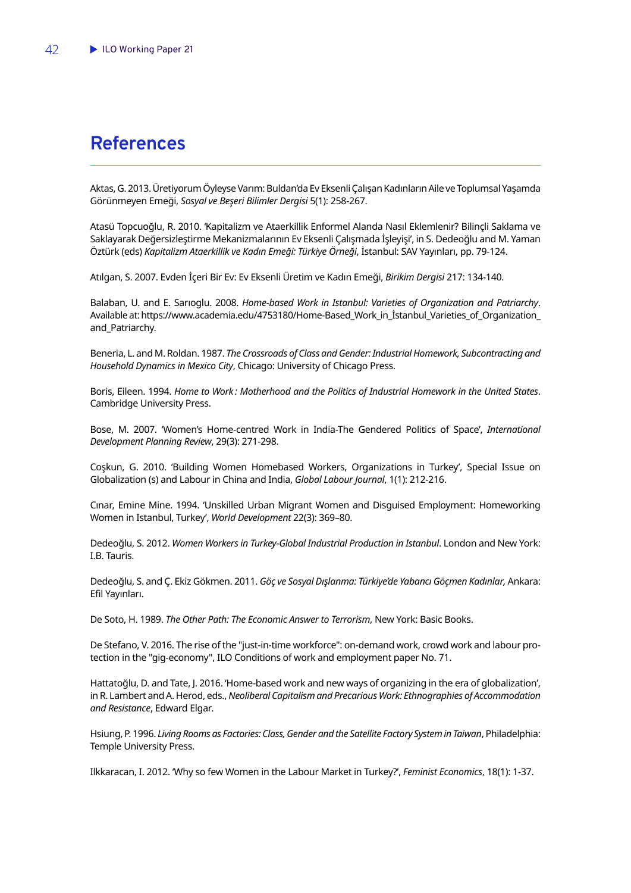## <span id="page-43-0"></span>**References**

Aktas, G. 2013. Üretiyorum Öyleyse Varım: Buldan'da Ev Eksenli Çalışan Kadınların Aile ve Toplumsal Yaşamda Görünmeyen Emeği, *Sosyal ve Beşeri Bilimler Dergisi* 5(1): 258-267.

Atasü Topcuoğlu, R. 2010. 'Kapitalizm ve Ataerkillik Enformel Alanda Nasıl Eklemlenir? Bilinçli Saklama ve Saklayarak Değersizleştirme Mekanizmalarının Ev Eksenli Çalışmada İşleyişi', in S. Dedeoğlu and M. Yaman Öztürk (eds) *Kapitalizm Ataerkillik ve Kadın Emeği: Türkiye Örneği*, İstanbul: SAV Yayınları, pp. 79-124.

Atılgan, S. 2007. Evden İçeri Bir Ev: Ev Eksenli Üretim ve Kadın Emeği, *Birikim Dergisi* 217: 134-140.

Balaban, U. and E. Sarıoglu. 2008. *Home-based Work in Istanbul: Varieties of Organization and Patriarchy*. Available at: https://www.academia.edu/4753180/Home-Based\_Work\_in\_İstanbul\_Varieties\_of\_Organization\_ and Patriarchy.

Beneria, L. and M. Roldan. 1987. *The Crossroads of Class and Gender: Industrial Homework, Subcontracting and Household Dynamics in Mexico City*, Chicago: University of Chicago Press.

Boris, Eileen. 1994. *Home to Work : Motherhood and the Politics of Industrial Homework in the United States*. Cambridge University Press.

Bose, M. 2007. 'Women's Home-centred Work in India-The Gendered Politics of Space', *International Development Planning Review*, 29(3): 271-298.

Coşkun, G. 2010. 'Building Women Homebased Workers, Organizations in Turkey', Special Issue on Globalization (s) and Labour in China and India, *Global Labour Journal*, 1(1): 212-216.

Cınar, Emine Mine. 1994. 'Unskilled Urban Migrant Women and Disguised Employment: Homeworking Women in Istanbul, Turkey', *World Development* 22(3): 369–80.

Dedeoğlu, S. 2012. *Women Workers in Turkey-Global Industrial Production in Istanbul*. London and New York: I.B. Tauris.

Dedeoğlu, S. and Ç. Ekiz Gökmen. 2011. *Göç ve Sosyal Dışlanma: Türkiye'de Yabancı Göçmen Kadınlar,* Ankara: Efil Yayınları.

De Soto, H. 1989. *The Other Path: The Economic Answer to Terrorism*, New York: Basic Books.

De Stefano, V. 2016. The rise of the "just-in-time workforce": on-demand work, crowd work and labour protection in the "gig-economy", ILO Conditions of work and employment paper No. 71.

Hattatoğlu, D. and Tate, J. 2016. 'Home-based work and new ways of organizing in the era of globalization', in R. Lambert and A. Herod, eds., *Neoliberal Capitalism and Precarious Work: Ethnographies of Accommodation and Resistance*, Edward Elgar.

Hsiung, P. 1996. *Living Rooms as Factories: Class, Gender and the Satellite Factory System in Taiwan*, Philadelphia: Temple University Press.

Ilkkaracan, I. 2012. 'Why so few Women in the Labour Market in Turkey?', *Feminist Economics*, 18(1): 1-37.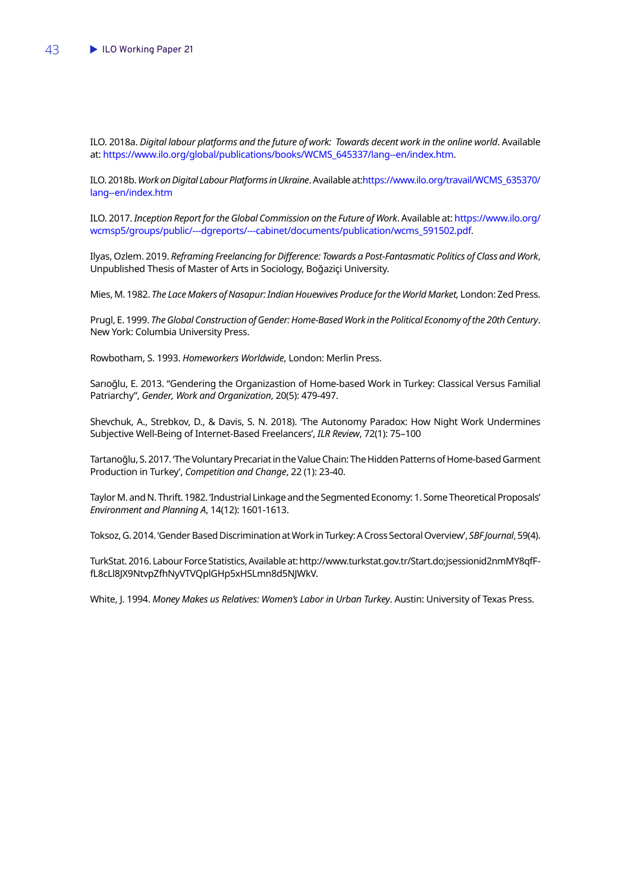ILO. 2018a. *Digital labour platforms and the future of work: Towards decent work in the online world*. Available at: [https://www.ilo.org/global/publications/books/WCMS\\_645337/lang--en/index.htm](https://www.ilo.org/global/publications/books/WCMS_645337/lang--en/index.htm).

ILO. 2018b. *Work on Digital Labour Platforms in Ukraine*. Available at[:https://www.ilo.org/travail/WCMS\\_635370/](https://www.ilo.org/travail/WCMS_635370/lang--en/index.htm) [lang--en/index.htm](https://www.ilo.org/travail/WCMS_635370/lang--en/index.htm)

ILO. 2017. *Inception Report for the Global Commission on the Future of Work*. Available at: [https://www.ilo.org/](https://www.ilo.org/wcmsp5/groups/public/---dgreports/---cabinet/documents/publication/wcms_591502.pdf) [wcmsp5/groups/public/---dgreports/---cabinet/documents/publication/wcms\\_591502.pdf.](https://www.ilo.org/wcmsp5/groups/public/---dgreports/---cabinet/documents/publication/wcms_591502.pdf)

Ilyas, Ozlem. 2019. *Reframing Freelancing for Difference: Towards a Post-Fantasmatic Politics of Class and Work*, Unpublished Thesis of Master of Arts in Sociology, Boğaziçi University.

Mies, M. 1982. *The Lace Makers of Nasapur: Indian Houewives Produce for the World Market,* London: Zed Press.

Prugl, E. 1999. *The Global Construction of Gender: Home-Based Work in the Political Economy of the 20th Century*. New York: Columbia University Press.

Rowbotham, S. 1993. *Homeworkers Worldwide*, London: Merlin Press.

Sarıoğlu, E. 2013. "Gendering the Organizastion of Home-based Work in Turkey: Classical Versus Familial Patriarchy", *Gender, Work and Organization*, 20(5): 479-497.

Shevchuk, A., Strebkov, D., & Davis, S. N. 2018). 'The Autonomy Paradox: How Night Work Undermines Subjective Well-Being of Internet-Based Freelancers', *ILR Review*, 72(1): 75–100

Tartanoğlu, S. 2017. 'The Voluntary Precariat in the Value Chain: The Hidden Patterns of Home-based Garment Production in Turkey', *Competition and Change*, 22 (1): 23-40.

Taylor M. and N. Thrift. 1982. 'Industrial Linkage and the Segmented Economy: 1. Some Theoretical Proposals' *Environment and Planning A*, 14(12): 1601-1613.

Toksoz, G. 2014. 'Gender Based Discrimination at Work in Turkey: A Cross Sectoral Overview', *SBF Journal*, 59(4).

TurkStat. 2016. Labour Force Statistics, Available at: http://www.turkstat.gov.tr/Start.do;jsessionid2nmMY8qfFfL8cLl8JX9NtvpZfhNyVTVQplGHp5xHSLmn8d5NJWkV.

White, J. 1994. *Money Makes us Relatives: Women's Labor in Urban Turkey*. Austin: University of Texas Press.